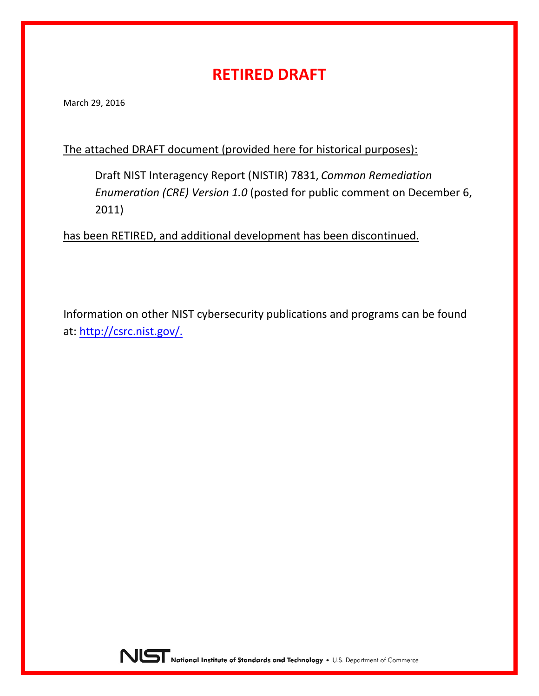## **RETIRED DRAFT**

March 29, 2016

#### The attached DRAFT document (provided here for historical purposes):

Draft NIST Interagency Report (NISTIR) 7831, *Common Remediation Enumeration (CRE) Version 1.0* (posted for public comment on December 6, 2011)

has been RETIRED, and additional development has been discontinued.

Information on other NIST cybersecurity publications and programs can be found at: http://csrc.ni[st.gov/.](http://csrc.nist.gov/)

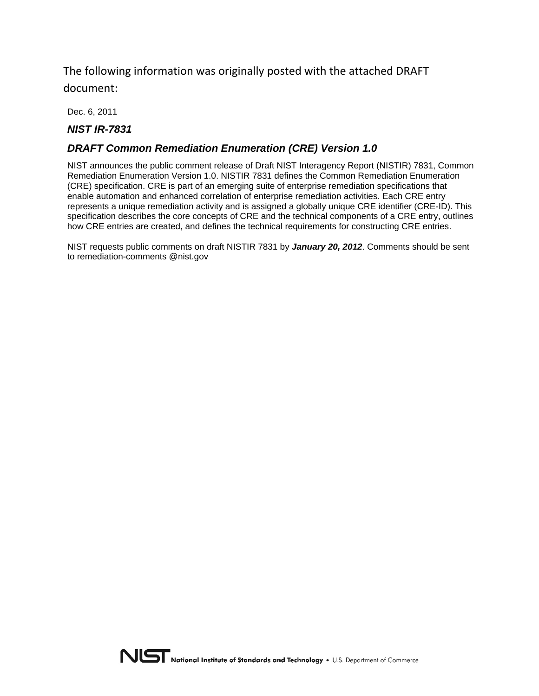The following information was originally posted with the attached DRAFT document:

Dec. 6, 2011

#### *NIST IR-7831*

#### *DRAFT Common Remediation Enumeration (CRE) Version 1.0*

NIST announces the public comment release of Draft NIST Interagency Report (NISTIR) 7831, Common Remediation Enumeration Version 1.0. NISTIR 7831 defines the Common Remediation Enumeration (CRE) specification. CRE is part of an emerging suite of enterprise remediation specifications that enable automation and enhanced correlation of enterprise remediation activities. Each CRE entry represents a unique remediation activity and is assigned a globally unique CRE identifier (CRE-ID). This specification describes the core concepts of CRE and the technical components of a CRE entry, outlines how CRE entries are created, and defines the technical requirements for constructing CRE entries.

NIST requests public comments on draft NISTIR 7831 by *January 20, 2012*. Comments should be sent to remediation-comments @nist.gov

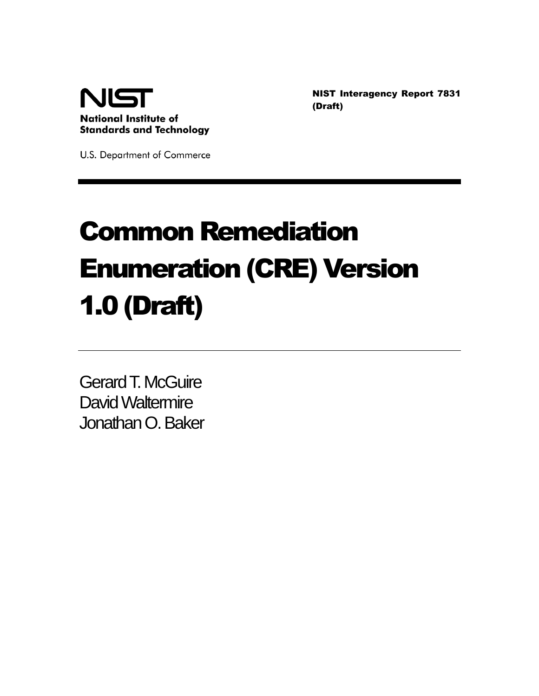

NIST Interagency Report 7831 (Draft)

U.S. Department of Commerce

# Common Remediation Enumeration (CRE) Version 1.0 (Draft)

Gerard T. McGuire David Waltermire Jonathan O. Baker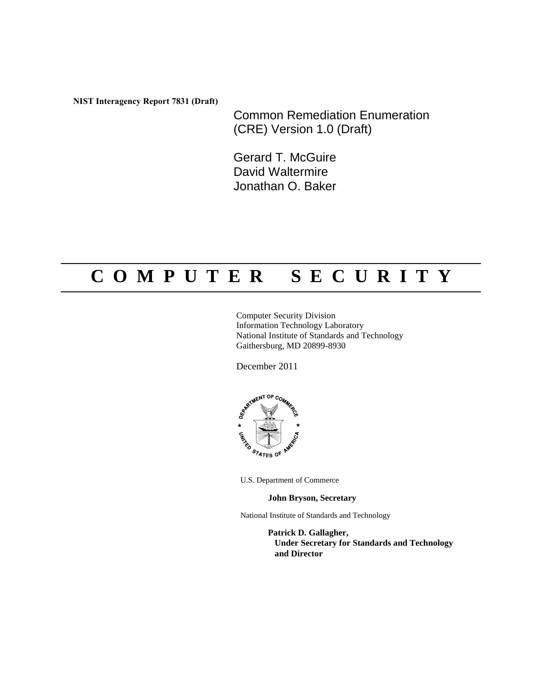**NIST Interagency Report 7831 (Draft)**

Common Remediation Enumeration (CRE) Version 1.0 (Draft)

Gerard T. McGuire David Waltermire Jonathan O. Baker

## **C O M P U T E R S E C U R I T Y**

Computer Security Division Information Technology Laboratory National Institute of Standards and Technology Gaithersburg, MD 20899-8930

December 2011



U.S. Department of Commerce

**John Bryson, Secretary**

National Institute of Standards and Technology

**Patrick D. Gallagher, Under Secretary for Standards and Technology and Director**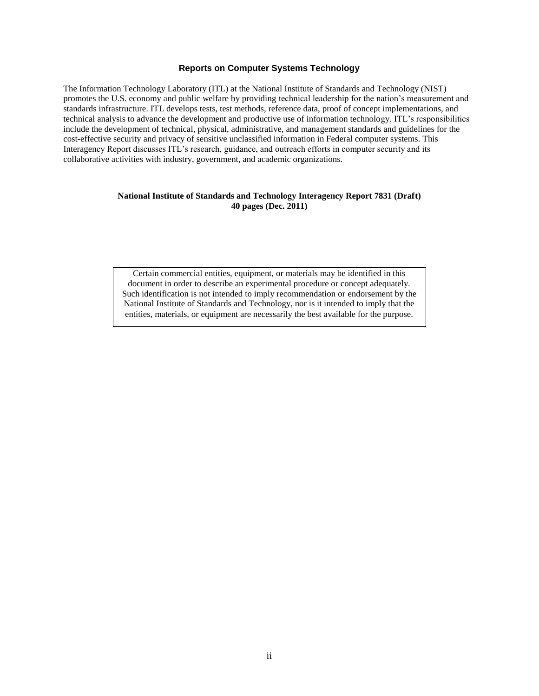#### **Reports on Computer Systems Technology**

The Information Technology Laboratory (ITL) at the National Institute of Standards and Technology (NIST) promotes the U.S. economy and public welfare by providing technical leadership for the nation's measurement and standards infrastructure. ITL develops tests, test methods, reference data, proof of concept implementations, and technical analysis to advance the development and productive use of information technology. ITL's responsibilities include the development of technical, physical, administrative, and management standards and guidelines for the cost-effective security and privacy of sensitive unclassified information in Federal computer systems. This Interagency Report discusses ITL's research, guidance, and outreach efforts in computer security and its collaborative activities with industry, government, and academic organizations.

#### **National Institute of Standards and Technology Interagency Report 7831 (Draft) 40 pages (Dec. 2011)**

Certain commercial entities, equipment, or materials may be identified in this document in order to describe an experimental procedure or concept adequately. Such identification is not intended to imply recommendation or endorsement by the National Institute of Standards and Technology, nor is it intended to imply that the entities, materials, or equipment are necessarily the best available for the purpose.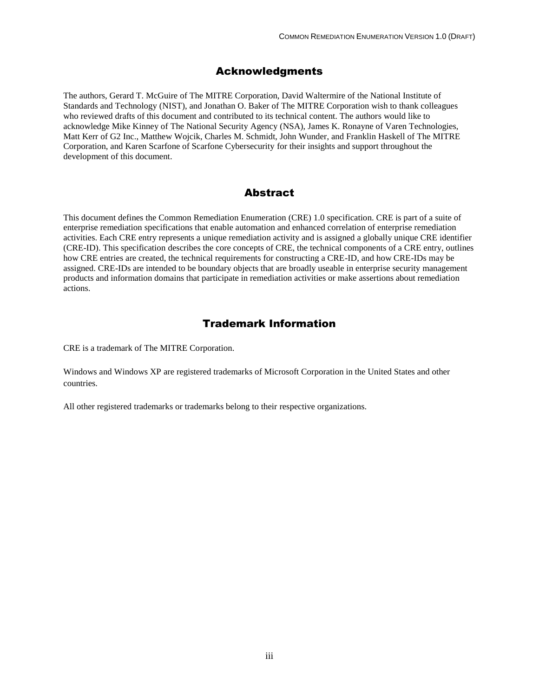#### Acknowledgments

The authors, Gerard T. McGuire of The MITRE Corporation, David Waltermire of the National Institute of Standards and Technology (NIST), and Jonathan O. Baker of The MITRE Corporation wish to thank colleagues who reviewed drafts of this document and contributed to its technical content. The authors would like to acknowledge Mike Kinney of The National Security Agency (NSA), James K. Ronayne of Varen Technologies, Matt Kerr of G2 Inc., Matthew Wojcik, Charles M. Schmidt, John Wunder, and Franklin Haskell of The MITRE Corporation, and Karen Scarfone of Scarfone Cybersecurity for their insights and support throughout the development of this document.

#### Abstract

This document defines the Common Remediation Enumeration (CRE) 1.0 specification. CRE is part of a suite of enterprise remediation specifications that enable automation and enhanced correlation of enterprise remediation activities. Each CRE entry represents a unique remediation activity and is assigned a globally unique CRE identifier (CRE-ID). This specification describes the core concepts of CRE, the technical components of a CRE entry, outlines how CRE entries are created, the technical requirements for constructing a CRE-ID, and how CRE-IDs may be assigned. CRE-IDs are intended to be boundary objects that are broadly useable in enterprise security management products and information domains that participate in remediation activities or make assertions about remediation actions.

#### Trademark Information

CRE is a trademark of The MITRE Corporation.

Windows and Windows XP are registered trademarks of Microsoft Corporation in the United States and other countries.

All other registered trademarks or trademarks belong to their respective organizations.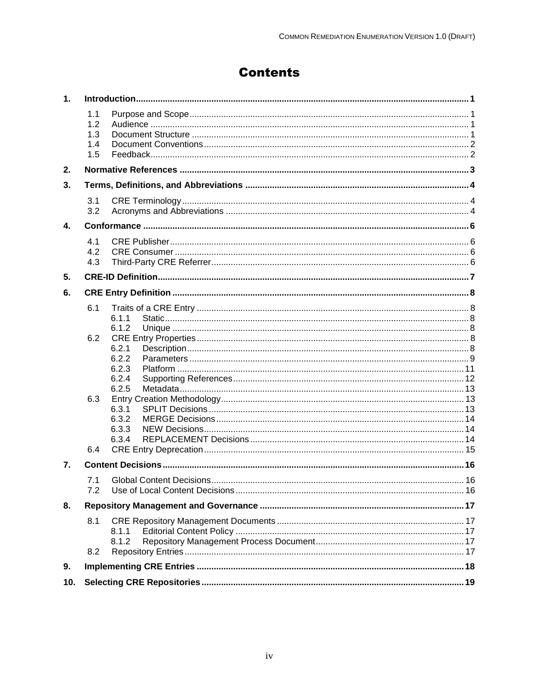## **Contents**

| 1.  |                                 |                         |  |
|-----|---------------------------------|-------------------------|--|
|     | 1.1<br>1.2<br>1.3<br>1.4<br>1.5 |                         |  |
| 2.  |                                 |                         |  |
| 3.  |                                 |                         |  |
|     | 3.1<br>3.2                      |                         |  |
| 4.  |                                 |                         |  |
|     | 4.1<br>4.2<br>4.3               |                         |  |
| 5.  |                                 |                         |  |
| 6.  |                                 |                         |  |
|     | 6.1                             | 6.1.1                   |  |
|     | 6.2                             | 6.1.2<br>6.2.1<br>6.2.2 |  |
|     |                                 | 6.2.3<br>6.2.4<br>6.2.5 |  |
|     | 6.3                             | 6.3.1<br>6.3.2<br>6.3.3 |  |
|     | 6.4                             | 6.3.4                   |  |
| 7.  |                                 |                         |  |
|     | 7.1                             |                         |  |
| 8.  |                                 |                         |  |
|     | 8.1                             | 8.1.1<br>8.1.2          |  |
|     | 8.2                             |                         |  |
| 9.  |                                 |                         |  |
| 10. |                                 |                         |  |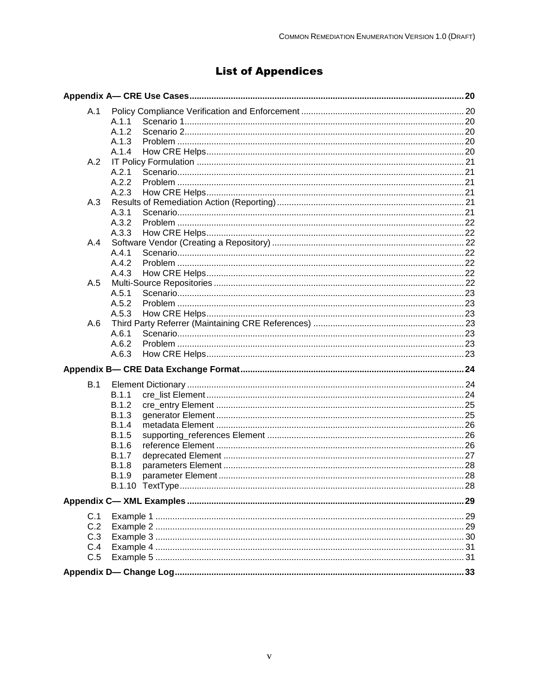## **List of Appendices**

| A.1 |              |  |
|-----|--------------|--|
|     | A.1.1        |  |
|     | A.1.2        |  |
|     | A.1.3        |  |
|     | A.1.4        |  |
| A.2 |              |  |
|     | A.2.1        |  |
|     | A.2.2        |  |
|     | A.2.3        |  |
| A.3 |              |  |
|     | A.3.1        |  |
|     | A.3.2        |  |
|     | A.3.3        |  |
| A.4 |              |  |
|     | A.4.1        |  |
|     | A.4.2        |  |
|     | A.4.3        |  |
| A.5 |              |  |
|     | A.5.1        |  |
|     | A.5.2        |  |
|     | A.5.3        |  |
| A.6 |              |  |
|     | A.6.1        |  |
|     | A.6.2        |  |
|     | A.6.3        |  |
|     |              |  |
| B.1 |              |  |
|     | B.1.1        |  |
|     | B.1.2        |  |
|     | <b>B.1.3</b> |  |
|     | <b>B.1.4</b> |  |
|     | <b>B.1.5</b> |  |
|     | <b>B.1.6</b> |  |
|     | <b>B.1.7</b> |  |
|     | <b>B.1.8</b> |  |
|     | <b>B.1.9</b> |  |
|     |              |  |
|     |              |  |
| C.1 |              |  |
| C.2 |              |  |
| C.3 |              |  |
| C.4 |              |  |
| C.5 |              |  |
|     |              |  |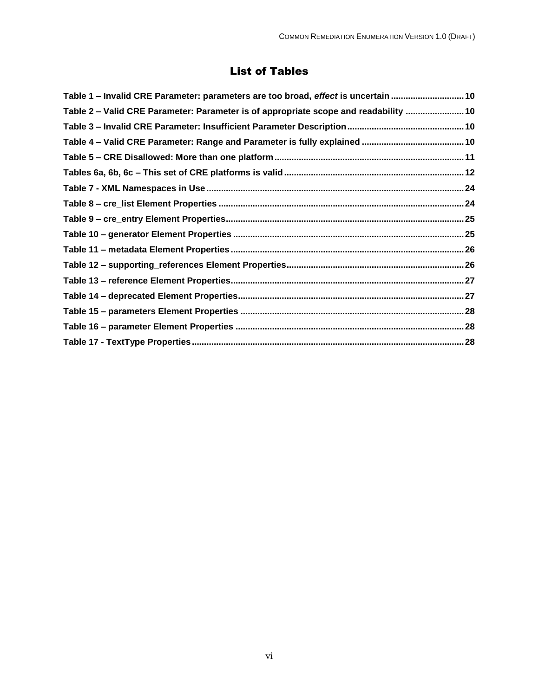## List of Tables

| Table 1 - Invalid CRE Parameter: parameters are too broad, effect is uncertain  10   |  |
|--------------------------------------------------------------------------------------|--|
| Table 2 – Valid CRE Parameter: Parameter is of appropriate scope and readability  10 |  |
|                                                                                      |  |
|                                                                                      |  |
|                                                                                      |  |
|                                                                                      |  |
|                                                                                      |  |
|                                                                                      |  |
|                                                                                      |  |
|                                                                                      |  |
|                                                                                      |  |
|                                                                                      |  |
|                                                                                      |  |
|                                                                                      |  |
|                                                                                      |  |
|                                                                                      |  |
|                                                                                      |  |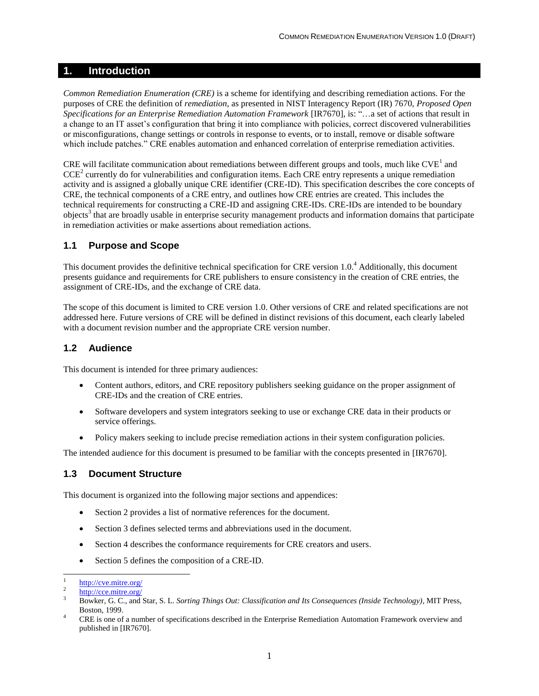#### <span id="page-9-0"></span>**1. Introduction**

*Common Remediation Enumeration (CRE)* is a scheme for identifying and describing remediation actions. For the purposes of CRE the definition of *remediation*, as presented in NIST Interagency Report (IR) 7670, *Proposed Open Specifications for an Enterprise Remediation Automation Framework* [IR7670], is: "…a set of actions that result in a change to an IT asset's configuration that bring it into compliance with policies, correct discovered vulnerabilities or misconfigurations, change settings or controls in response to events, or to install, remove or disable software which include patches." CRE enables automation and enhanced correlation of enterprise remediation activities.

CRE will facilitate communication about remediations between different groups and tools, much like  $CVE<sup>1</sup>$  and  $CCE<sup>2</sup>$  currently do for vulnerabilities and configuration items. Each CRE entry represents a unique remediation activity and is assigned a globally unique CRE identifier (CRE-ID). This specification describes the core concepts of CRE, the technical components of a CRE entry, and outlines how CRE entries are created. This includes the technical requirements for constructing a CRE-ID and assigning CRE-IDs. CRE-IDs are intended to be boundary objects<sup>3</sup> that are broadly usable in enterprise security management products and information domains that participate in remediation activities or make assertions about remediation actions.

#### <span id="page-9-1"></span>**1.1 Purpose and Scope**

This document provides the definitive technical specification for CRE version  $1.0<sup>4</sup>$  Additionally, this document presents guidance and requirements for CRE publishers to ensure consistency in the creation of CRE entries, the assignment of CRE-IDs, and the exchange of CRE data.

The scope of this document is limited to CRE version 1.0. Other versions of CRE and related specifications are not addressed here. Future versions of CRE will be defined in distinct revisions of this document, each clearly labeled with a document revision number and the appropriate CRE version number.

#### <span id="page-9-2"></span>**1.2 Audience**

This document is intended for three primary audiences:

- Content authors, editors, and CRE repository publishers seeking guidance on the proper assignment of CRE-IDs and the creation of CRE entries.
- Software developers and system integrators seeking to use or exchange CRE data in their products or service offerings.
- Policy makers seeking to include precise remediation actions in their system configuration policies.

The intended audience for this document is presumed to be familiar with the concepts presented in [IR7670].

#### <span id="page-9-3"></span>**1.3 Document Structure**

This document is organized into the following major sections and appendices:

- Section 2 provides a list of normative references for the document.
- Section 3 defines selected terms and abbreviations used in the document.
- Section 4 describes the conformance requirements for CRE creators and users.
- Section 5 defines the composition of a CRE-ID.

 $\overline{\phantom{a}}$ 

<sup>1</sup> <http://cve.mitre.org/>

<sup>2</sup> <http://cce.mitre.org/>

<sup>3</sup> Bowker, G. C., and Star, S. L. *Sorting Things Out: Classification and Its Consequences (Inside Technology)*, MIT Press, Boston, 1999.

<sup>&</sup>lt;sup>4</sup> CRE is one of a number of specifications described in the Enterprise Remediation Automation Framework overview and published in [IR7670].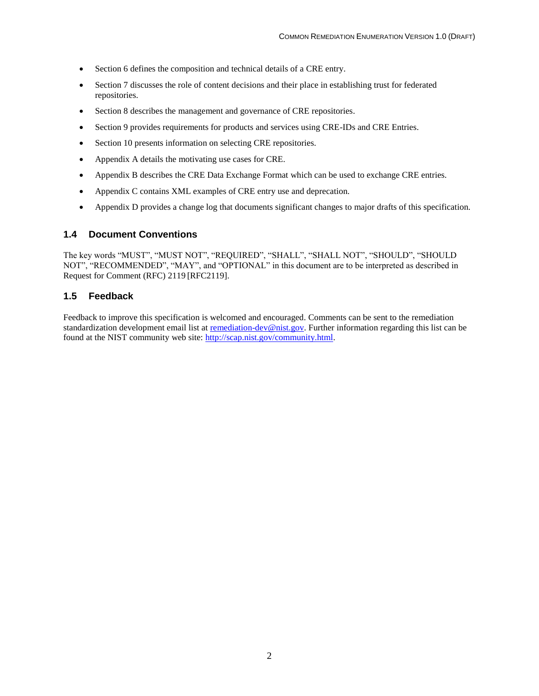- Section 6 defines the composition and technical details of a CRE entry.
- Section 7 discusses the role of content decisions and their place in establishing trust for federated repositories.
- Section 8 describes the management and governance of CRE repositories.
- Section 9 provides requirements for products and services using CRE-IDs and CRE Entries.
- Section 10 presents information on selecting CRE repositories.
- Appendix A details the motivating use cases for CRE.
- Appendix B describes the CRE Data Exchange Format which can be used to exchange CRE entries.
- Appendix C contains XML examples of CRE entry use and deprecation.
- Appendix D provides a change log that documents significant changes to major drafts of this specification.

#### <span id="page-10-0"></span>**1.4 Document Conventions**

The key words "MUST", "MUST NOT", "REQUIRED", "SHALL", "SHALL NOT", "SHOULD", "SHOULD NOT", "RECOMMENDED", "MAY", and "OPTIONAL" in this document are to be interpreted as described in Request for Comment (RFC) 2119 [RFC2119].

#### <span id="page-10-1"></span>**1.5 Feedback**

Feedback to improve this specification is welcomed and encouraged. Comments can be sent to the remediation standardization development email list at [remediation-dev@nist.gov.](mailto:remediation-dev@nist.gov) Further information regarding this list can be found at the NIST community web site: [http://scap.nist.gov/community.html.](http://scap.nist.gov/community.html)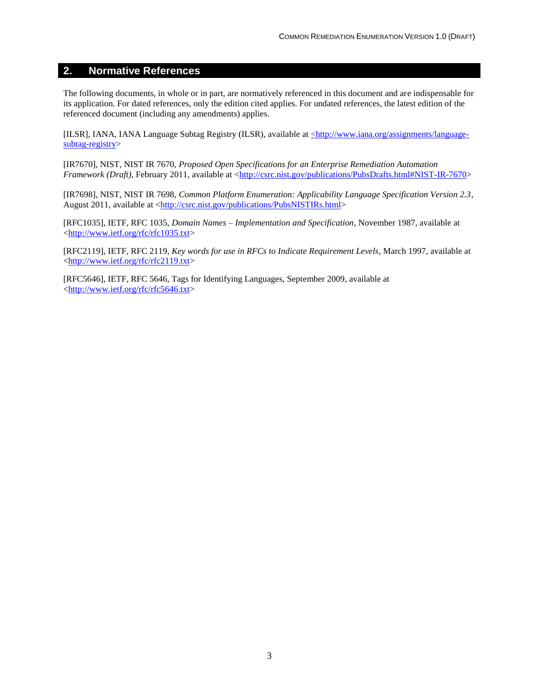#### <span id="page-11-0"></span>**2. Normative References**

The following documents, in whole or in part, are normatively referenced in this document and are indispensable for its application. For dated references, only the edition cited applies. For undated references, the latest edition of the referenced document (including any amendments) applies.

[ILSR], IANA, IANA Language Subtag Registry (ILSR), available at [<http://www.iana.org/assignments/language](file:///C:/Docs/Remediation/SVN/trunk/working/CRE-DEF/final%20005/%3chttp:/www.iana.org/assignments/language-subtag-registry)[subtag-registry>](file:///C:/Docs/Remediation/SVN/trunk/working/CRE-DEF/final%20005/%3chttp:/www.iana.org/assignments/language-subtag-registry)

[IR7670], NIST, NIST IR 7670, *Proposed Open Specifications for an Enterprise Remediation Automation Framework (Draft)*, February 2011, available at [<http://csrc.nist.gov/publications/PubsDrafts.html#NIST-IR-7670>](http://csrc.nist.gov/publications/PubsDrafts.html#NIST-IR-7670)

[IR7698], NIST, NIST IR 7698, *Common Platform Enumeration: Applicability Language Specification Version 2.3*, August 2011, available at [<http://csrc.nist.gov/publications/PubsNISTIRs.html>](http://csrc.nist.gov/publications/PubsNISTIRs.html)

[RFC1035], IETF, RFC 1035, *Domain Names – Implementation and Specification*, November 1987, available at [<http://www.ietf.org/rfc/rfc1035.txt>](http://www.ietf.org/rfc/rfc1035.txt)

[RFC2119], IETF, RFC 2119, *Key words for use in RFCs to Indicate Requirement Levels*, March 1997, available at [<http://www.ietf.org/rfc/rfc2119.txt>](http://www.ietf.org/rfc/rfc2119.txt)

[RFC5646], IETF, RFC 5646, Tags for Identifying Languages, September 2009, available at [<http://www.ietf.org/rfc/rfc5646.txt>](http://www.ietf.org/rfc/rfc5646.txt)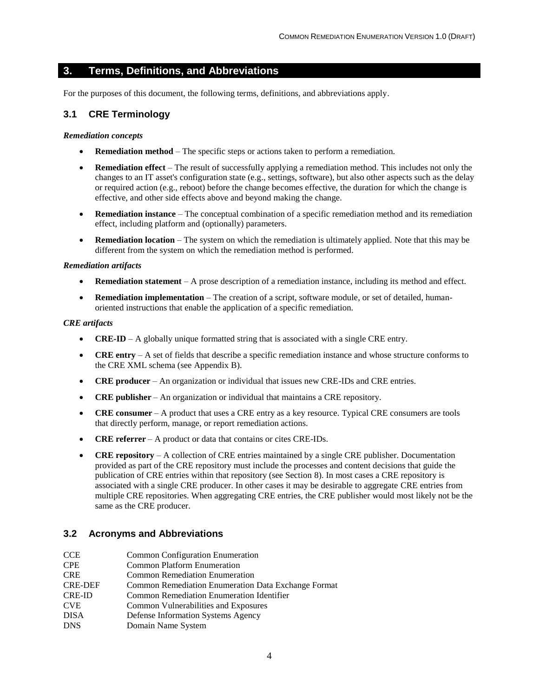#### <span id="page-12-0"></span>**3. Terms, Definitions, and Abbreviations**

For the purposes of this document, the following terms, definitions, and abbreviations apply.

#### <span id="page-12-1"></span>**3.1 CRE Terminology**

#### *Remediation concepts*

- **Remediation method** The specific steps or actions taken to perform a remediation.
- **Remediation effect** The result of successfully applying a remediation method. This includes not only the changes to an IT asset's configuration state (e.g., settings, software), but also other aspects such as the delay or required action (e.g., reboot) before the change becomes effective, the duration for which the change is effective, and other side effects above and beyond making the change.
- **Remediation instance** The conceptual combination of a specific remediation method and its remediation effect, including platform and (optionally) parameters.
- **Remediation location** The system on which the remediation is ultimately applied. Note that this may be different from the system on which the remediation method is performed.

#### *Remediation artifacts*

- **Remediation statement** A prose description of a remediation instance, including its method and effect.
- **Remediation implementation** The creation of a script, software module, or set of detailed, humanoriented instructions that enable the application of a specific remediation.

#### *CRE artifacts*

- **CRE-ID** A globally unique formatted string that is associated with a single CRE entry.
- **CRE entry** A set of fields that describe a specific remediation instance and whose structure conforms to the CRE XML schema (see Appendix B).
- **CRE producer** An organization or individual that issues new CRE-IDs and CRE entries.
- **CRE publisher** An organization or individual that maintains a CRE repository.
- **CRE consumer** A product that uses a CRE entry as a key resource. Typical CRE consumers are tools that directly perform, manage, or report remediation actions.
- **CRE referrer** A product or data that contains or cites CRE-IDs.
- **CRE repository** A collection of CRE entries maintained by a single CRE publisher. Documentation provided as part of the CRE repository must include the processes and content decisions that guide the publication of CRE entries within that repository (see Section 8). In most cases a CRE repository is associated with a single CRE producer. In other cases it may be desirable to aggregate CRE entries from multiple CRE repositories. When aggregating CRE entries, the CRE publisher would most likely not be the same as the CRE producer.

#### <span id="page-12-2"></span>**3.2 Acronyms and Abbreviations**

- CCE Common Configuration Enumeration
- CPE Common Platform Enumeration
- CRE Common Remediation Enumeration
- CRE-DEF Common Remediation Enumeration Data Exchange Format
- CRE-ID Common Remediation Enumeration Identifier
- CVE Common Vulnerabilities and Exposures
- DISA Defense Information Systems Agency
- DNS Domain Name System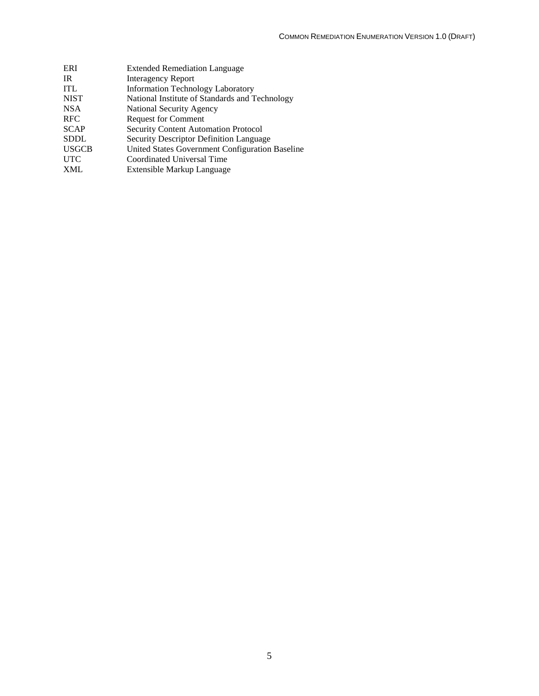| ERI          | <b>Extended Remediation Language</b>            |
|--------------|-------------------------------------------------|
| IR.          | <b>Interagency Report</b>                       |
| <b>ITL</b>   | <b>Information Technology Laboratory</b>        |
| <b>NIST</b>  | National Institute of Standards and Technology  |
| NSA          | National Security Agency                        |
| <b>RFC</b>   | <b>Request for Comment</b>                      |
| <b>SCAP</b>  | Security Content Automation Protocol            |
| SDDL         | <b>Security Descriptor Definition Language</b>  |
| <b>USGCB</b> | United States Government Configuration Baseline |
| <b>UTC</b>   | Coordinated Universal Time                      |
| XML          | Extensible Markup Language                      |
|              |                                                 |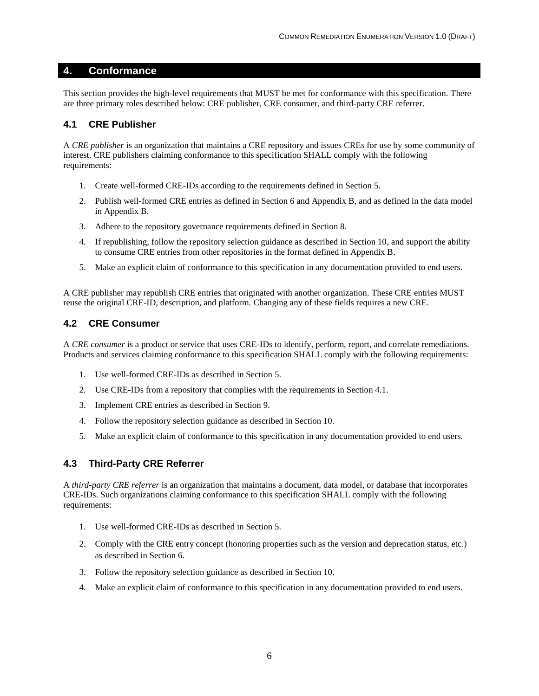#### <span id="page-14-0"></span>**4. Conformance**

This section provides the high-level requirements that MUST be met for conformance with this specification. There are three primary roles described below: CRE publisher, CRE consumer, and third-party CRE referrer.

#### <span id="page-14-1"></span>**4.1 CRE Publisher**

A *CRE publisher* is an organization that maintains a CRE repository and issues CREs for use by some community of interest. CRE publishers claiming conformance to this specification SHALL comply with the following requirements:

- 1. Create well-formed CRE-IDs according to the requirements defined in Section 5.
- 2. Publish well-formed CRE entries as defined in Section 6 and Appendix B, and as defined in the data model in Appendix B.
- 3. Adhere to the repository governance requirements defined in Section 8.
- 4. If republishing, follow the repository selection guidance as described in Section 10, and support the ability to consume CRE entries from other repositories in the format defined in Appendix B.
- 5. Make an explicit claim of conformance to this specification in any documentation provided to end users.

A CRE publisher may republish CRE entries that originated with another organization. These CRE entries MUST reuse the original CRE-ID, description, and platform. Changing any of these fields requires a new CRE.

#### <span id="page-14-2"></span>**4.2 CRE Consumer**

A *CRE consumer* is a product or service that uses CRE-IDs to identify, perform, report, and correlate remediations. Products and services claiming conformance to this specification SHALL comply with the following requirements:

- 1. Use well-formed CRE-IDs as described in Section 5.
- 2. Use CRE-IDs from a repository that complies with the requirements in Section [4.1.](#page-14-1)
- 3. Implement CRE entries as described in Section 9.
- 4. Follow the repository selection guidance as described in Section 10.
- 5. Make an explicit claim of conformance to this specification in any documentation provided to end users.

#### <span id="page-14-3"></span>**4.3 Third-Party CRE Referrer**

A *third-party CRE referrer* is an organization that maintains a document, data model, or database that incorporates CRE-IDs. Such organizations claiming conformance to this specification SHALL comply with the following requirements:

- 1. Use well-formed CRE-IDs as described in Section 5.
- 2. Comply with the CRE entry concept (honoring properties such as the version and deprecation status, etc.) as described in Section 6.
- 3. Follow the repository selection guidance as described in Section 10.
- 4. Make an explicit claim of conformance to this specification in any documentation provided to end users.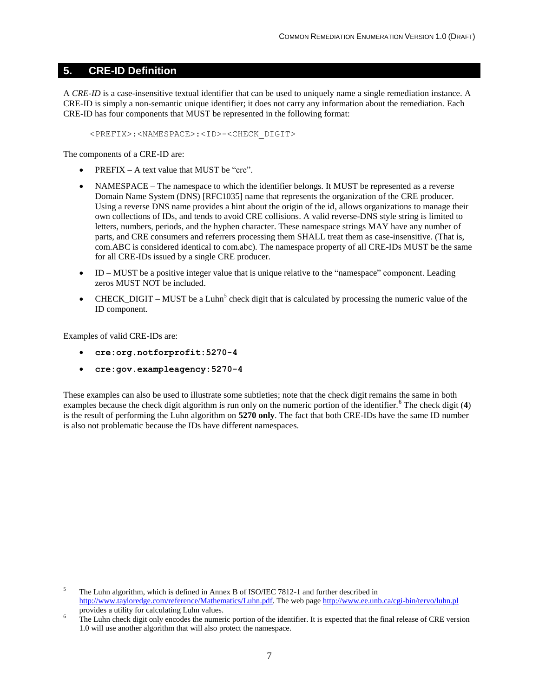#### <span id="page-15-0"></span>**5. CRE-ID Definition**

A *CRE-ID* is a case-insensitive textual identifier that can be used to uniquely name a single remediation instance. A CRE-ID is simply a non-semantic unique identifier; it does not carry any information about the remediation. Each CRE-ID has four components that MUST be represented in the following format:

<PREFIX>:<NAMESPACE>:<ID>-<CHECK\_DIGIT>

The components of a CRE-ID are:

- PREFIX A text value that MUST be "cre".
- NAMESPACE The namespace to which the identifier belongs. It MUST be represented as a reverse Domain Name System (DNS) [RFC1035] name that represents the organization of the CRE producer. Using a reverse DNS name provides a hint about the origin of the id, allows organizations to manage their own collections of IDs, and tends to avoid CRE collisions. A valid reverse-DNS style string is limited to letters, numbers, periods, and the hyphen character. These namespace strings MAY have any number of parts, and CRE consumers and referrers processing them SHALL treat them as case-insensitive. (That is, com.ABC is considered identical to com.abc). The namespace property of all CRE-IDs MUST be the same for all CRE-IDs issued by a single CRE producer.
- ID MUST be a positive integer value that is unique relative to the "namespace" component. Leading zeros MUST NOT be included.
- CHECK\_DIGIT MUST be a Luhn<sup>5</sup> check digit that is calculated by processing the numeric value of the ID component.

Examples of valid CRE-IDs are:

l

- **cre:org.notforprofit:5270-4**
- **cre:gov.exampleagency:5270-4**

These examples can also be used to illustrate some subtleties; note that the check digit remains the same in both examples because the check digit algorithm is run only on the numeric portion of the identifier.<sup>6</sup> The check digit (4) is the result of performing the Luhn algorithm on **5270 only**. The fact that both CRE-IDs have the same ID number is also not problematic because the IDs have different namespaces.

<sup>5</sup> The Luhn algorithm, which is defined in Annex B of ISO/IEC 7812-1 and further described in [http://www.tayloredge.com/reference/Mathematics/Luhn.pdf.](http://www.tayloredge.com/reference/Mathematics/Luhn.pdf) The web page<http://www.ee.unb.ca/cgi-bin/tervo/luhn.pl> provides a utility for calculating Luhn values.

The Luhn check digit only encodes the numeric portion of the identifier. It is expected that the final release of CRE version 1.0 will use another algorithm that will also protect the namespace.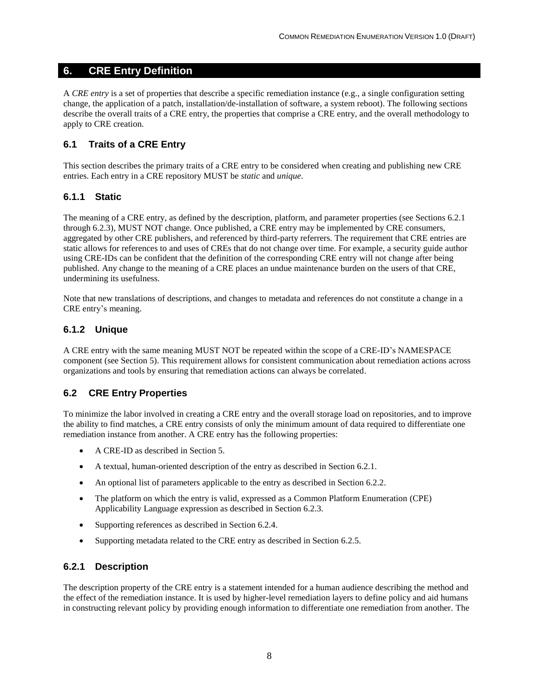#### <span id="page-16-0"></span>**6. CRE Entry Definition**

A *CRE entry* is a set of properties that describe a specific remediation instance (e.g., a single configuration setting change, the application of a patch, installation/de-installation of software, a system reboot). The following sections describe the overall traits of a CRE entry, the properties that comprise a CRE entry, and the overall methodology to apply to CRE creation.

#### <span id="page-16-1"></span>**6.1 Traits of a CRE Entry**

This section describes the primary traits of a CRE entry to be considered when creating and publishing new CRE entries. Each entry in a CRE repository MUST be *static* and *unique*.

#### <span id="page-16-2"></span>**6.1.1 Static**

The meaning of a CRE entry, as defined by the description, platform, and parameter properties (see Sections [6.2.1](#page-16-5) through 6.2.3), MUST NOT change. Once published, a CRE entry may be implemented by CRE consumers, aggregated by other CRE publishers, and referenced by third-party referrers. The requirement that CRE entries are static allows for references to and uses of CREs that do not change over time. For example, a security guide author using CRE-IDs can be confident that the definition of the corresponding CRE entry will not change after being published. Any change to the meaning of a CRE places an undue maintenance burden on the users of that CRE, undermining its usefulness.

Note that new translations of descriptions, and changes to metadata and references do not constitute a change in a CRE entry's meaning.

#### <span id="page-16-3"></span>**6.1.2 Unique**

A CRE entry with the same meaning MUST NOT be repeated within the scope of a CRE-ID's NAMESPACE component (see Section 5). This requirement allows for consistent communication about remediation actions across organizations and tools by ensuring that remediation actions can always be correlated.

#### <span id="page-16-4"></span>**6.2 CRE Entry Properties**

To minimize the labor involved in creating a CRE entry and the overall storage load on repositories, and to improve the ability to find matches, a CRE entry consists of only the minimum amount of data required to differentiate one remediation instance from another. A CRE entry has the following properties:

- A CRE-ID as described in Section 5.
- A textual, human-oriented description of the entry as described in Sectio[n 6.2.1.](#page-16-5)
- An optional list of parameters applicable to the entry as described in Section [6.2.2.](#page-17-0)
- The platform on which the entry is valid, expressed as a Common Platform Enumeration (CPE) Applicability Language expression as described in Section [6.2.3.](#page-19-0)
- Supporting references as described in Section [6.2.4.](#page-20-0)
- Supporting metadata related to the CRE entry as described in Section [6.2.5.](#page-21-0)

#### <span id="page-16-5"></span>**6.2.1 Description**

The description property of the CRE entry is a statement intended for a human audience describing the method and the effect of the remediation instance. It is used by higher-level remediation layers to define policy and aid humans in constructing relevant policy by providing enough information to differentiate one remediation from another. The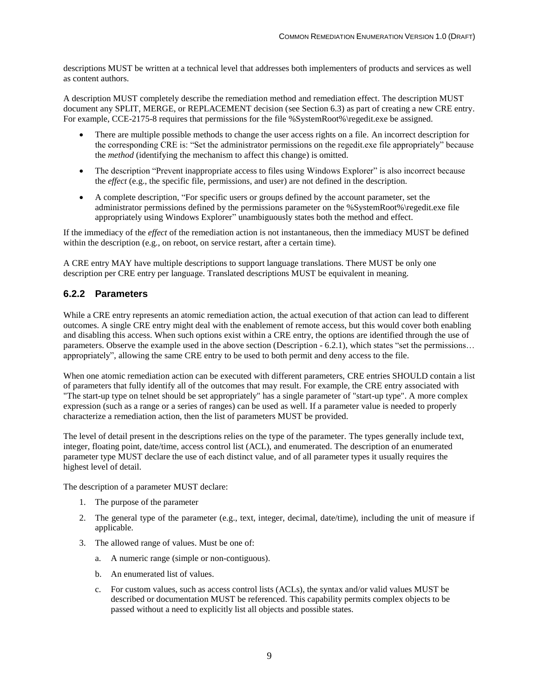descriptions MUST be written at a technical level that addresses both implementers of products and services as well as content authors.

A description MUST completely describe the remediation method and remediation effect. The description MUST document any SPLIT, MERGE, or REPLACEMENT decision (see Section 6.3) as part of creating a new CRE entry. For example, CCE-2175-8 requires that permissions for the file %SystemRoot%\regedit.exe be assigned.

- There are multiple possible methods to change the user access rights on a file. An incorrect description for the corresponding CRE is: "Set the administrator permissions on the regedit.exe file appropriately" because the *method* (identifying the mechanism to affect this change) is omitted.
- The description "Prevent inappropriate access to files using Windows Explorer" is also incorrect because the *effect* (e.g., the specific file, permissions, and user) are not defined in the description.
- A complete description, "For specific users or groups defined by the account parameter, set the administrator permissions defined by the permissions parameter on the %SystemRoot%\regedit.exe file appropriately using Windows Explorer" unambiguously states both the method and effect.

If the immediacy of the *effect* of the remediation action is not instantaneous, then the immediacy MUST be defined within the description (e.g., on reboot, on service restart, after a certain time).

A CRE entry MAY have multiple descriptions to support language translations. There MUST be only one description per CRE entry per language. Translated descriptions MUST be equivalent in meaning.

#### <span id="page-17-0"></span>**6.2.2 Parameters**

While a CRE entry represents an atomic remediation action, the actual execution of that action can lead to different outcomes. A single CRE entry might deal with the enablement of remote access, but this would cover both enabling and disabling this access. When such options exist within a CRE entry, the options are identified through the use of parameters. Observe the example used in the above section (Description - 6.2.1), which states "set the permissions… appropriately", allowing the same CRE entry to be used to both permit and deny access to the file.

When one atomic remediation action can be executed with different parameters, CRE entries SHOULD contain a list of parameters that fully identify all of the outcomes that may result. For example, the CRE entry associated with "The start-up type on telnet should be set appropriately" has a single parameter of "start-up type". A more complex expression (such as a range or a series of ranges) can be used as well. If a parameter value is needed to properly characterize a remediation action, then the list of parameters MUST be provided.

The level of detail present in the descriptions relies on the type of the parameter. The types generally include text, integer, floating point, date/time, access control list (ACL), and enumerated. The description of an enumerated parameter type MUST declare the use of each distinct value, and of all parameter types it usually requires the highest level of detail.

The description of a parameter MUST declare:

- 1. The purpose of the parameter
- 2. The general type of the parameter (e.g., text, integer, decimal, date/time), including the unit of measure if applicable.
- 3. The allowed range of values. Must be one of:
	- a. A numeric range (simple or non-contiguous).
	- b. An enumerated list of values.
	- c. For custom values, such as access control lists (ACLs), the syntax and/or valid values MUST be described or documentation MUST be referenced. This capability permits complex objects to be passed without a need to explicitly list all objects and possible states.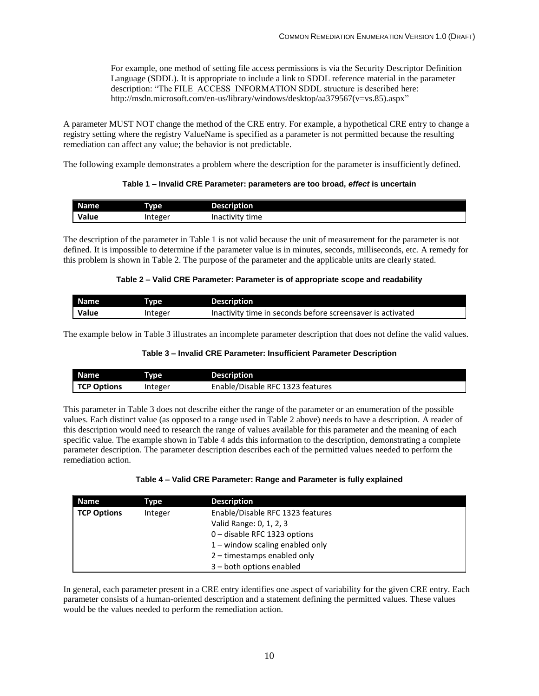For example, one method of setting file access permissions is via the Security Descriptor Definition Language (SDDL). It is appropriate to include a link to SDDL reference material in the parameter description: "The FILE\_ACCESS\_INFORMATION SDDL structure is described here: http://msdn.microsoft.com/en-us/library/windows/desktop/aa379567(v=vs.85).aspx"

A parameter MUST NOT change the method of the CRE entry. For example, a hypothetical CRE entry to change a registry setting where the registry ValueName is specified as a parameter is not permitted because the resulting remediation can affect any value; the behavior is not predictable.

<span id="page-18-0"></span>The following example demonstrates a problem where the description for the parameter is insufficiently defined.

#### **Table 1 – Invalid CRE Parameter: parameters are too broad,** *effect* **is uncertain**

| Name  | <b>Type</b> | Description     |
|-------|-------------|-----------------|
| Value | integer     | Inactivity time |

The description of the parameter in Table 1 is not valid because the unit of measurement for the parameter is not defined. It is impossible to determine if the parameter value is in minutes, seconds, milliseconds, etc. A remedy for this problem is shown in Table 2. The purpose of the parameter and the applicable units are clearly stated.

#### **Table 2 – Valid CRE Parameter: Parameter is of appropriate scope and readability**

<span id="page-18-1"></span>

| Name  | Tvpe    | <b>Description</b>                                         |
|-------|---------|------------------------------------------------------------|
| Value | Integer | Inactivity time in seconds before screensaver is activated |

<span id="page-18-2"></span>The example below in Table 3 illustrates an incomplete parameter description that does not define the valid values.

#### **Table 3 – Invalid CRE Parameter: Insufficient Parameter Description**

| <b>Name</b>        | Type    | <b>Description</b>               |
|--------------------|---------|----------------------------------|
| <b>TCP Options</b> | integer | Enable/Disable RFC 1323 features |

This parameter in Table 3 does not describe either the range of the parameter or an enumeration of the possible values. Each distinct value (as opposed to a range used in Table 2 above) needs to have a description. A reader of this description would need to research the range of values available for this parameter and the meaning of each specific value. The example shown in Table 4 adds this information to the description, demonstrating a complete parameter description. The parameter description describes each of the permitted values needed to perform the remediation action.

| Table 4 - Valid CRE Parameter: Range and Parameter is fully explained |  |  |
|-----------------------------------------------------------------------|--|--|
|-----------------------------------------------------------------------|--|--|

<span id="page-18-3"></span>

| <b>Name</b>        | Type    | <b>Description</b>                |
|--------------------|---------|-----------------------------------|
| <b>TCP Options</b> | Integer | Enable/Disable RFC 1323 features  |
|                    |         | Valid Range: 0, 1, 2, 3           |
|                    |         | 0 - disable RFC 1323 options      |
|                    |         | $1$ – window scaling enabled only |
|                    |         | 2 - timestamps enabled only       |
|                    |         | 3 - both options enabled          |

In general, each parameter present in a CRE entry identifies one aspect of variability for the given CRE entry. Each parameter consists of a human-oriented description and a statement defining the permitted values. These values would be the values needed to perform the remediation action.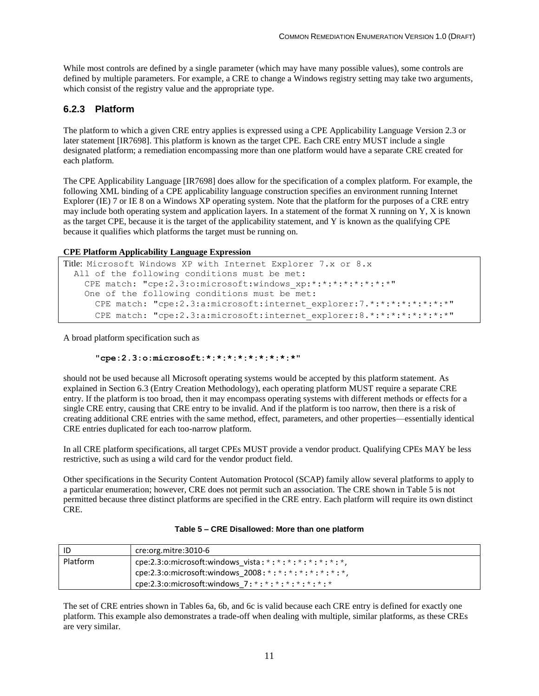While most controls are defined by a single parameter (which may have many possible values), some controls are defined by multiple parameters. For example, a CRE to change a Windows registry setting may take two arguments, which consist of the registry value and the appropriate type.

#### <span id="page-19-0"></span>**6.2.3 Platform**

The platform to which a given CRE entry applies is expressed using a CPE Applicability Language Version 2.3 or later statement [IR7698]. This platform is known as the target CPE. Each CRE entry MUST include a single designated platform; a remediation encompassing more than one platform would have a separate CRE created for each platform.

The CPE Applicability Language [IR7698] does allow for the specification of a complex platform. For example, the following XML binding of a CPE applicability language construction specifies an environment running Internet Explorer (IE) 7 or IE 8 on a Windows XP operating system. Note that the platform for the purposes of a CRE entry may include both operating system and application layers. In a statement of the format X running on Y, X is known as the target CPE, because it is the target of the applicability statement, and Y is known as the qualifying CPE because it qualifies which platforms the target must be running on.

#### **CPE Platform Applicability Language Expression**

```
Title: Microsoft Windows XP with Internet Explorer 7.x or 8.x
 All of the following conditions must be met:
    CPE match: "cpe:2.3:o:microsoft:windows xp:*:*:*:*:*:*:*:*"
     One of the following conditions must be met:
      CPE match: "cpe:2.3:a:microsoft:internet explorer:7.*:*:*:*:*:*:*:*"
      CPE match: "cpe:2.3:a:microsoft:internet explorer:8.*:*:*:*:*:*:*:*"
```
A broad platform specification such as

#### **"cpe:2.3:o:microsoft:\*:\*:\*:\*:\*:\*:\*:\*:\*"**

should not be used because all Microsoft operating systems would be accepted by this platform statement. As explained in Section [6.3](#page-21-1) (Entry Creation Methodology), each operating platform MUST require a separate CRE entry. If the platform is too broad, then it may encompass operating systems with different methods or effects for a single CRE entry, causing that CRE entry to be invalid. And if the platform is too narrow, then there is a risk of creating additional CRE entries with the same method, effect, parameters, and other properties—essentially identical CRE entries duplicated for each too-narrow platform.

In all CRE platform specifications, all target CPEs MUST provide a vendor product. Qualifying CPEs MAY be less restrictive, such as using a wild card for the vendor product field.

Other specifications in the Security Content Automation Protocol (SCAP) family allow several platforms to apply to a particular enumeration; however, CRE does not permit such an association. The CRE shown in Table 5 is not permitted because three distinct platforms are specified in the CRE entry. Each platform will require its own distinct CRE.

<span id="page-19-1"></span>

| l ID     | cre:org.mitre:3010-6                                          |
|----------|---------------------------------------------------------------|
| Platform | cpe:2.3:o:microsoft:windows_vista: *: *: *: *: *: *: *: *: *, |
|          | cpe:2.3:o:microsoft:windows_2008: *: *: *: *: *: *: *: *: *,  |
|          | ' cpe:2.3:o:microsoft:windows 7:*:*:*:*:*:*:*:*:              |

The set of CRE entries shown in Tables 6a, 6b, and 6c is valid because each CRE entry is defined for exactly one platform. This example also demonstrates a trade-off when dealing with multiple, similar platforms, as these CREs are very similar.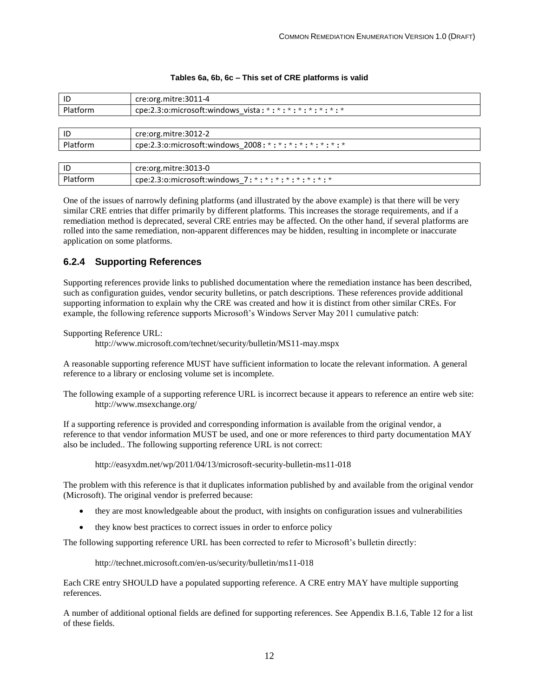<span id="page-20-1"></span>

| ID                                                                       | cre:org.mitre:3011-4                                        |  |
|--------------------------------------------------------------------------|-------------------------------------------------------------|--|
| Platform<br>cpe:2.3:o:microsoft:windows vista: *: *: *: *: *: *: *: *: * |                                                             |  |
|                                                                          |                                                             |  |
| ID                                                                       | cre:org.mitre:3012-2                                        |  |
| Platform                                                                 | cpe:2.3:o:microsoft:windows 2008: *: *: *: *: *: *: *: *: * |  |

#### **Tables 6a, 6b, 6c – This set of CRE platforms is valid**

| ID | cre:org.mitre:3013-0                                     |
|----|----------------------------------------------------------|
|    | cpe:2.3:o:microsoft:windows 7: *: *: *: *: *: *: *: *: * |

One of the issues of narrowly defining platforms (and illustrated by the above example) is that there will be very similar CRE entries that differ primarily by different platforms. This increases the storage requirements, and if a remediation method is deprecated, several CRE entries may be affected. On the other hand, if several platforms are rolled into the same remediation, non-apparent differences may be hidden, resulting in incomplete or inaccurate application on some platforms.

#### <span id="page-20-0"></span>**6.2.4 Supporting References**

Supporting references provide links to published documentation where the remediation instance has been described, such as configuration guides, vendor security bulletins, or patch descriptions. These references provide additional supporting information to explain why the CRE was created and how it is distinct from other similar CREs. For example, the following reference supports Microsoft's Windows Server May 2011 cumulative patch:

Supporting Reference URL:

http://www.microsoft.com/technet/security/bulletin/MS11-may.mspx

A reasonable supporting reference MUST have sufficient information to locate the relevant information. A general reference to a library or enclosing volume set is incomplete.

The following example of a supporting reference URL is incorrect because it appears to reference an entire web site: http://www.msexchange.org/

If a supporting reference is provided and corresponding information is available from the original vendor, a reference to that vendor information MUST be used, and one or more references to third party documentation MAY also be included.. The following supporting reference URL is not correct:

http://easyxdm.net/wp/2011/04/13/microsoft-security-bulletin-ms11-018

The problem with this reference is that it duplicates information published by and available from the original vendor (Microsoft). The original vendor is preferred because:

- they are most knowledgeable about the product, with insights on configuration issues and vulnerabilities
- they know best practices to correct issues in order to enforce policy

The following supporting reference URL has been corrected to refer to Microsoft's bulletin directly:

http://technet.microsoft.com/en-us/security/bulletin/ms11-018

Each CRE entry SHOULD have a populated supporting reference. A CRE entry MAY have multiple supporting references.

A number of additional optional fields are defined for supporting references. See Appendix B.1.6, Table 12 for a list of these fields.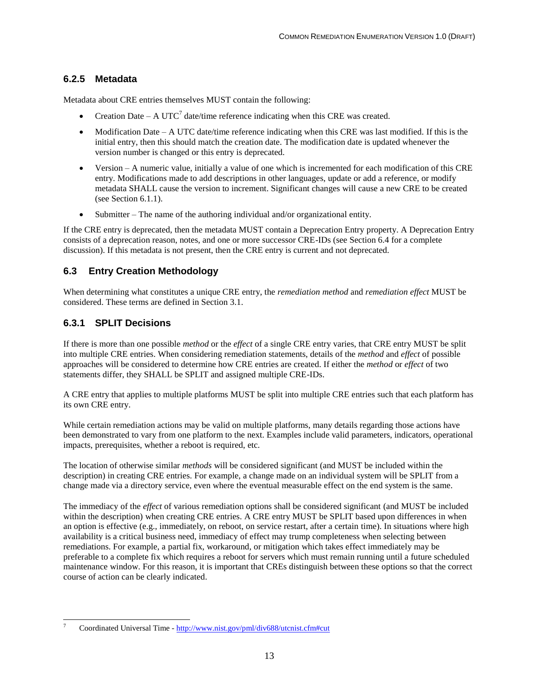#### <span id="page-21-0"></span>**6.2.5 Metadata**

Metadata about CRE entries themselves MUST contain the following:

- Creation Date A UTC<sup>7</sup> date/time reference indicating when this CRE was created.
- Modification Date A UTC date/time reference indicating when this CRE was last modified. If this is the initial entry, then this should match the creation date. The modification date is updated whenever the version number is changed or this entry is deprecated.
- Version A numeric value, initially a value of one which is incremented for each modification of this CRE entry. Modifications made to add descriptions in other languages, update or add a reference, or modify metadata SHALL cause the version to increment. Significant changes will cause a new CRE to be created (see Section [6.1.1\)](#page-16-2).
- Submitter The name of the authoring individual and/or organizational entity.

If the CRE entry is deprecated, then the metadata MUST contain a Deprecation Entry property. A Deprecation Entry consists of a deprecation reason, notes, and one or more successor CRE-IDs (see Section 6.4 for a complete discussion). If this metadata is not present, then the CRE entry is current and not deprecated.

#### <span id="page-21-1"></span>**6.3 Entry Creation Methodology**

When determining what constitutes a unique CRE entry, the *remediation method* and *remediation effect* MUST be considered. These terms are defined in Section 3.1.

#### <span id="page-21-2"></span>**6.3.1 SPLIT Decisions**

If there is more than one possible *method* or the *effect* of a single CRE entry varies, that CRE entry MUST be split into multiple CRE entries. When considering remediation statements, details of the *method* and *effect* of possible approaches will be considered to determine how CRE entries are created. If either the *method* or *effect* of two statements differ, they SHALL be SPLIT and assigned multiple CRE-IDs.

A CRE entry that applies to multiple platforms MUST be split into multiple CRE entries such that each platform has its own CRE entry.

While certain remediation actions may be valid on multiple platforms, many details regarding those actions have been demonstrated to vary from one platform to the next. Examples include valid parameters, indicators, operational impacts, prerequisites, whether a reboot is required, etc.

The location of otherwise similar *methods* will be considered significant (and MUST be included within the description) in creating CRE entries. For example, a change made on an individual system will be SPLIT from a change made via a directory service, even where the eventual measurable effect on the end system is the same.

The immediacy of the *effect* of various remediation options shall be considered significant (and MUST be included within the description) when creating CRE entries. A CRE entry MUST be SPLIT based upon differences in when an option is effective (e.g., immediately, on reboot, on service restart, after a certain time). In situations where high availability is a critical business need, immediacy of effect may trump completeness when selecting between remediations. For example, a partial fix, workaround, or mitigation which takes effect immediately may be preferable to a complete fix which requires a reboot for servers which must remain running until a future scheduled maintenance window. For this reason, it is important that CREs distinguish between these options so that the correct course of action can be clearly indicated.

 $\overline{\phantom{a}}$ <sup>7</sup> Coordinated Universal Time - <http://www.nist.gov/pml/div688/utcnist.cfm#cut>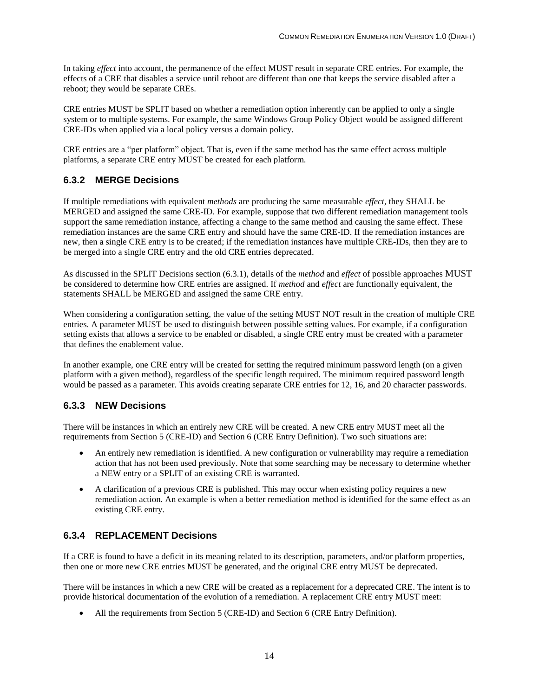In taking *effect* into account, the permanence of the effect MUST result in separate CRE entries. For example, the effects of a CRE that disables a service until reboot are different than one that keeps the service disabled after a reboot; they would be separate CREs.

CRE entries MUST be SPLIT based on whether a remediation option inherently can be applied to only a single system or to multiple systems. For example, the same Windows Group Policy Object would be assigned different CRE-IDs when applied via a local policy versus a domain policy.

CRE entries are a "per platform" object. That is, even if the same method has the same effect across multiple platforms, a separate CRE entry MUST be created for each platform.

#### <span id="page-22-0"></span>**6.3.2 MERGE Decisions**

If multiple remediations with equivalent *methods* are producing the same measurable *effect*, they SHALL be MERGED and assigned the same CRE-ID. For example, suppose that two different remediation management tools support the same remediation instance, affecting a change to the same method and causing the same effect. These remediation instances are the same CRE entry and should have the same CRE-ID. If the remediation instances are new, then a single CRE entry is to be created; if the remediation instances have multiple CRE-IDs, then they are to be merged into a single CRE entry and the old CRE entries deprecated.

As discussed in the SPLIT Decisions section (6.3.1), details of the *method* and *effect* of possible approaches MUST be considered to determine how CRE entries are assigned. If *method* and *effect* are functionally equivalent, the statements SHALL be MERGED and assigned the same CRE entry.

When considering a configuration setting, the value of the setting MUST NOT result in the creation of multiple CRE entries. A parameter MUST be used to distinguish between possible setting values. For example, if a configuration setting exists that allows a service to be enabled or disabled, a single CRE entry must be created with a parameter that defines the enablement value.

In another example, one CRE entry will be created for setting the required minimum password length (on a given platform with a given method), regardless of the specific length required. The minimum required password length would be passed as a parameter. This avoids creating separate CRE entries for 12, 16, and 20 character passwords.

#### <span id="page-22-1"></span>**6.3.3 NEW Decisions**

There will be instances in which an entirely new CRE will be created. A new CRE entry MUST meet all the requirements from Section 5 (CRE-ID) and Section 6 (CRE Entry Definition). Two such situations are:

- An entirely new remediation is identified. A new configuration or vulnerability may require a remediation action that has not been used previously. Note that some searching may be necessary to determine whether a NEW entry or a SPLIT of an existing CRE is warranted.
- A clarification of a previous CRE is published. This may occur when existing policy requires a new remediation action. An example is when a better remediation method is identified for the same effect as an existing CRE entry.

#### <span id="page-22-2"></span>**6.3.4 REPLACEMENT Decisions**

If a CRE is found to have a deficit in its meaning related to its description, parameters, and/or platform properties, then one or more new CRE entries MUST be generated, and the original CRE entry MUST be deprecated.

There will be instances in which a new CRE will be created as a replacement for a deprecated CRE. The intent is to provide historical documentation of the evolution of a remediation. A replacement CRE entry MUST meet:

All the requirements from Section 5 (CRE-ID) and Section 6 (CRE Entry Definition).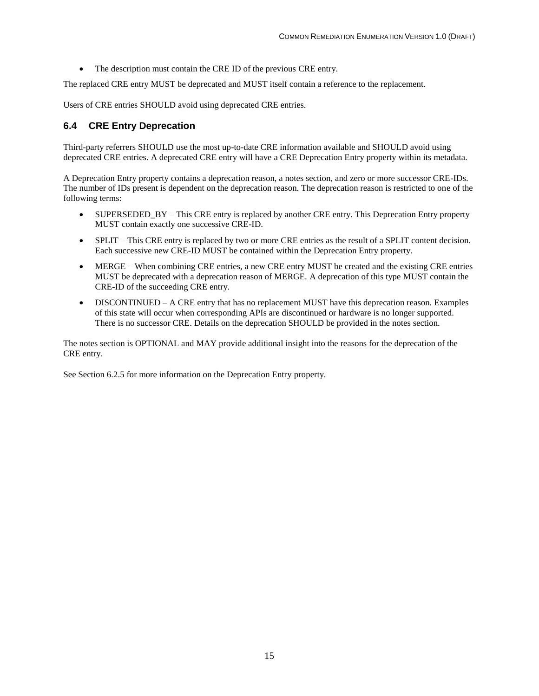The description must contain the CRE ID of the previous CRE entry.

The replaced CRE entry MUST be deprecated and MUST itself contain a reference to the replacement.

Users of CRE entries SHOULD avoid using deprecated CRE entries.

#### <span id="page-23-0"></span>**6.4 CRE Entry Deprecation**

Third-party referrers SHOULD use the most up-to-date CRE information available and SHOULD avoid using deprecated CRE entries. A deprecated CRE entry will have a CRE Deprecation Entry property within its metadata.

A Deprecation Entry property contains a deprecation reason, a notes section, and zero or more successor CRE-IDs. The number of IDs present is dependent on the deprecation reason. The deprecation reason is restricted to one of the following terms:

- SUPERSEDED\_BY This CRE entry is replaced by another CRE entry. This Deprecation Entry property MUST contain exactly one successive CRE-ID.
- SPLIT This CRE entry is replaced by two or more CRE entries as the result of a SPLIT content decision. Each successive new CRE-ID MUST be contained within the Deprecation Entry property.
- MERGE When combining CRE entries, a new CRE entry MUST be created and the existing CRE entries MUST be deprecated with a deprecation reason of MERGE. A deprecation of this type MUST contain the CRE-ID of the succeeding CRE entry.
- DISCONTINUED A CRE entry that has no replacement MUST have this deprecation reason. Examples of this state will occur when corresponding APIs are discontinued or hardware is no longer supported. There is no successor CRE. Details on the deprecation SHOULD be provided in the notes section.

The notes section is OPTIONAL and MAY provide additional insight into the reasons for the deprecation of the CRE entry.

See Section 6.2.5 for more information on the Deprecation Entry property.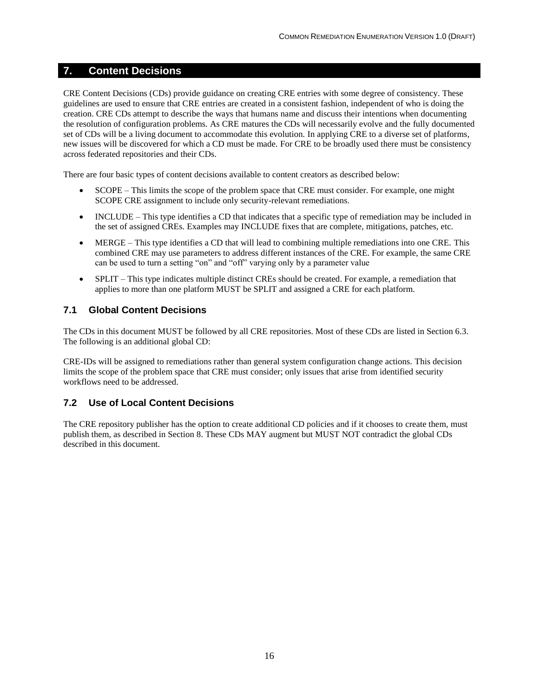#### <span id="page-24-0"></span>**7. Content Decisions**

CRE Content Decisions (CDs) provide guidance on creating CRE entries with some degree of consistency. These guidelines are used to ensure that CRE entries are created in a consistent fashion, independent of who is doing the creation. CRE CDs attempt to describe the ways that humans name and discuss their intentions when documenting the resolution of configuration problems. As CRE matures the CDs will necessarily evolve and the fully documented set of CDs will be a living document to accommodate this evolution. In applying CRE to a diverse set of platforms, new issues will be discovered for which a CD must be made. For CRE to be broadly used there must be consistency across federated repositories and their CDs.

There are four basic types of content decisions available to content creators as described below:

- SCOPE This limits the scope of the problem space that CRE must consider. For example, one might SCOPE CRE assignment to include only security-relevant remediations.
- INCLUDE This type identifies a CD that indicates that a specific type of remediation may be included in the set of assigned CREs. Examples may INCLUDE fixes that are complete, mitigations, patches, etc.
- MERGE This type identifies a CD that will lead to combining multiple remediations into one CRE. This combined CRE may use parameters to address different instances of the CRE. For example, the same CRE can be used to turn a setting "on" and "off" varying only by a parameter value
- SPLIT This type indicates multiple distinct CREs should be created. For example, a remediation that applies to more than one platform MUST be SPLIT and assigned a CRE for each platform.

#### <span id="page-24-1"></span>**7.1 Global Content Decisions**

The CDs in this document MUST be followed by all CRE repositories. Most of these CDs are listed in Section [6.3.](#page-21-1) The following is an additional global CD:

CRE-IDs will be assigned to remediations rather than general system configuration change actions. This decision limits the scope of the problem space that CRE must consider; only issues that arise from identified security workflows need to be addressed.

#### <span id="page-24-2"></span>**7.2 Use of Local Content Decisions**

The CRE repository publisher has the option to create additional CD policies and if it chooses to create them, must publish them, as described in Section 8. These CDs MAY augment but MUST NOT contradict the global CDs described in this document.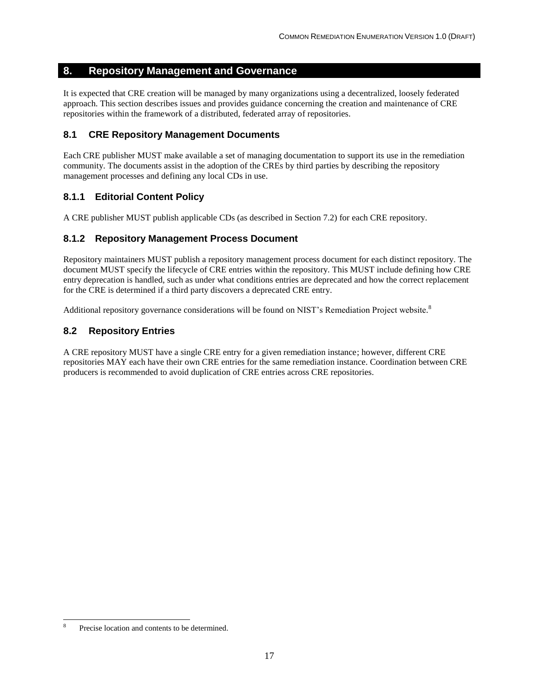#### <span id="page-25-0"></span>**8. Repository Management and Governance**

It is expected that CRE creation will be managed by many organizations using a decentralized, loosely federated approach. This section describes issues and provides guidance concerning the creation and maintenance of CRE repositories within the framework of a distributed, federated array of repositories.

#### <span id="page-25-1"></span>**8.1 CRE Repository Management Documents**

Each CRE publisher MUST make available a set of managing documentation to support its use in the remediation community. The documents assist in the adoption of the CREs by third parties by describing the repository management processes and defining any local CDs in use.

#### <span id="page-25-2"></span>**8.1.1 Editorial Content Policy**

A CRE publisher MUST publish applicable CDs (as described in Section 7.2) for each CRE repository.

#### <span id="page-25-3"></span>**8.1.2 Repository Management Process Document**

Repository maintainers MUST publish a repository management process document for each distinct repository. The document MUST specify the lifecycle of CRE entries within the repository. This MUST include defining how CRE entry deprecation is handled, such as under what conditions entries are deprecated and how the correct replacement for the CRE is determined if a third party discovers a deprecated CRE entry.

Additional repository governance considerations will be found on NIST's Remediation Project website.<sup>8</sup>

#### <span id="page-25-4"></span>**8.2 Repository Entries**

A CRE repository MUST have a single CRE entry for a given remediation instance; however, different CRE repositories MAY each have their own CRE entries for the same remediation instance. Coordination between CRE producers is recommended to avoid duplication of CRE entries across CRE repositories.

 $\overline{\phantom{a}}$ 

<sup>8</sup> Precise location and contents to be determined.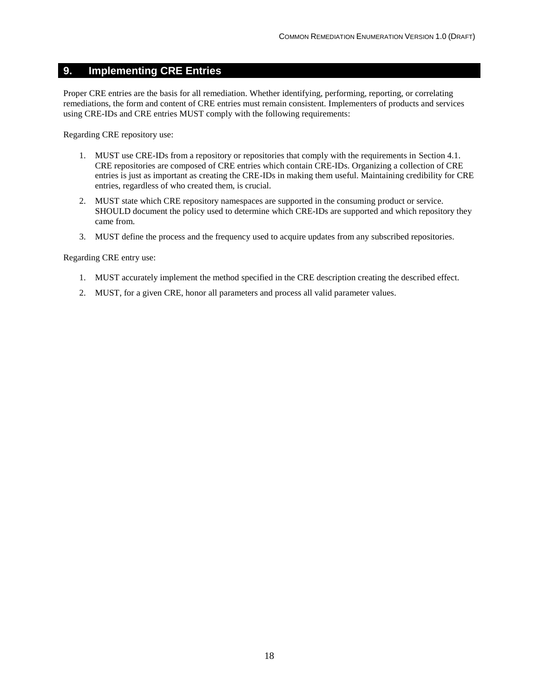#### <span id="page-26-0"></span>**9. Implementing CRE Entries**

Proper CRE entries are the basis for all remediation. Whether identifying, performing, reporting, or correlating remediations, the form and content of CRE entries must remain consistent. Implementers of products and services using CRE-IDs and CRE entries MUST comply with the following requirements:

Regarding CRE repository use:

- 1. MUST use CRE-IDs from a repository or repositories that comply with the requirements in Section 4.1. CRE repositories are composed of CRE entries which contain CRE-IDs. Organizing a collection of CRE entries is just as important as creating the CRE-IDs in making them useful. Maintaining credibility for CRE entries, regardless of who created them, is crucial.
- 2. MUST state which CRE repository namespaces are supported in the consuming product or service. SHOULD document the policy used to determine which CRE-IDs are supported and which repository they came from.
- 3. MUST define the process and the frequency used to acquire updates from any subscribed repositories.

Regarding CRE entry use:

- 1. MUST accurately implement the method specified in the CRE description creating the described effect.
- 2. MUST, for a given CRE, honor all parameters and process all valid parameter values.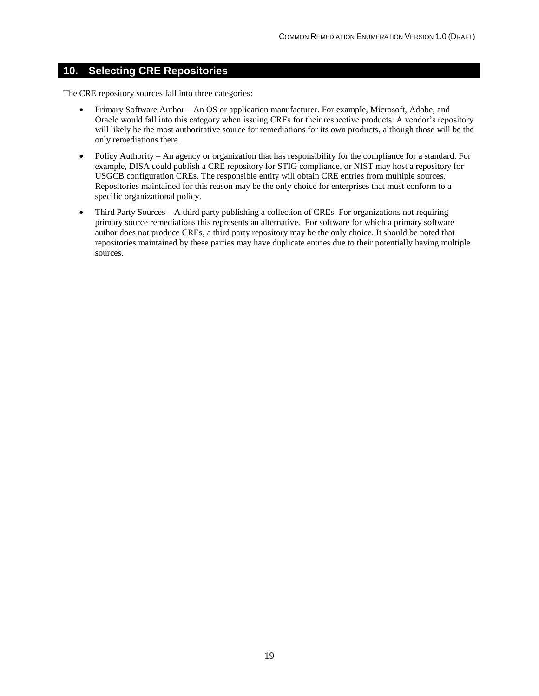#### <span id="page-27-0"></span>**10. Selecting CRE Repositories**

The CRE repository sources fall into three categories:

- Primary Software Author An OS or application manufacturer. For example, Microsoft, Adobe, and Oracle would fall into this category when issuing CREs for their respective products. A vendor's repository will likely be the most authoritative source for remediations for its own products, although those will be the only remediations there.
- Policy Authority An agency or organization that has responsibility for the compliance for a standard. For example, DISA could publish a CRE repository for STIG compliance, or NIST may host a repository for USGCB configuration CREs. The responsible entity will obtain CRE entries from multiple sources. Repositories maintained for this reason may be the only choice for enterprises that must conform to a specific organizational policy.
- Third Party Sources A third party publishing a collection of CREs. For organizations not requiring primary source remediations this represents an alternative. For software for which a primary software author does not produce CREs, a third party repository may be the only choice. It should be noted that repositories maintained by these parties may have duplicate entries due to their potentially having multiple sources.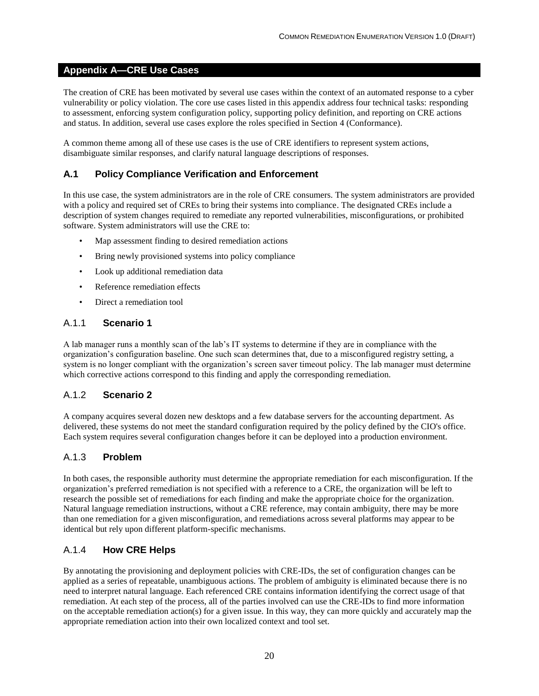#### <span id="page-28-0"></span>**Appendix A—CRE Use Cases**

The creation of CRE has been motivated by several use cases within the context of an automated response to a cyber vulnerability or policy violation. The core use cases listed in this appendix address four technical tasks: responding to assessment, enforcing system configuration policy, supporting policy definition, and reporting on CRE actions and status. In addition, several use cases explore the roles specified in Section [4](#page-14-0) (Conformance).

A common theme among all of these use cases is the use of CRE identifiers to represent system actions, disambiguate similar responses, and clarify natural language descriptions of responses.

#### <span id="page-28-1"></span>**A.1 Policy Compliance Verification and Enforcement**

In this use case, the system administrators are in the role of CRE consumers. The system administrators are provided with a policy and required set of CREs to bring their systems into compliance. The designated CREs include a description of system changes required to remediate any reported vulnerabilities, misconfigurations, or prohibited software. System administrators will use the CRE to:

- Map assessment finding to desired remediation actions
- Bring newly provisioned systems into policy compliance
- Look up additional remediation data
- Reference remediation effects
- Direct a remediation tool

#### <span id="page-28-2"></span>A.1.1 **Scenario 1**

A lab manager runs a monthly scan of the lab's IT systems to determine if they are in compliance with the organization's configuration baseline. One such scan determines that, due to a misconfigured registry setting, a system is no longer compliant with the organization's screen saver timeout policy. The lab manager must determine which corrective actions correspond to this finding and apply the corresponding remediation.

#### <span id="page-28-3"></span>A.1.2 **Scenario 2**

A company acquires several dozen new desktops and a few database servers for the accounting department. As delivered, these systems do not meet the standard configuration required by the policy defined by the CIO's office. Each system requires several configuration changes before it can be deployed into a production environment.

#### <span id="page-28-4"></span>A.1.3 **Problem**

In both cases, the responsible authority must determine the appropriate remediation for each misconfiguration. If the organization's preferred remediation is not specified with a reference to a CRE, the organization will be left to research the possible set of remediations for each finding and make the appropriate choice for the organization. Natural language remediation instructions, without a CRE reference, may contain ambiguity, there may be more than one remediation for a given misconfiguration, and remediations across several platforms may appear to be identical but rely upon different platform-specific mechanisms.

#### <span id="page-28-5"></span>A.1.4 **How CRE Helps**

By annotating the provisioning and deployment policies with CRE-IDs, the set of configuration changes can be applied as a series of repeatable, unambiguous actions. The problem of ambiguity is eliminated because there is no need to interpret natural language. Each referenced CRE contains information identifying the correct usage of that remediation. At each step of the process, all of the parties involved can use the CRE-IDs to find more information on the acceptable remediation action(s) for a given issue. In this way, they can more quickly and accurately map the appropriate remediation action into their own localized context and tool set.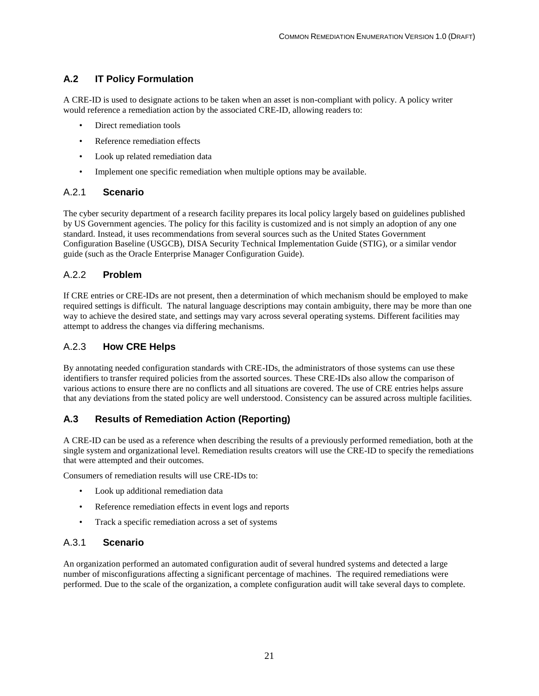#### <span id="page-29-0"></span>**A.2 IT Policy Formulation**

A CRE-ID is used to designate actions to be taken when an asset is non-compliant with policy. A policy writer would reference a remediation action by the associated CRE-ID, allowing readers to:

- Direct remediation tools
- Reference remediation effects
- Look up related remediation data
- Implement one specific remediation when multiple options may be available.

#### <span id="page-29-1"></span>A.2.1 **Scenario**

The cyber security department of a research facility prepares its local policy largely based on guidelines published by US Government agencies. The policy for this facility is customized and is not simply an adoption of any one standard. Instead, it uses recommendations from several sources such as the United States Government Configuration Baseline (USGCB), DISA Security Technical Implementation Guide (STIG), or a similar vendor guide (such as the Oracle Enterprise Manager Configuration Guide).

#### <span id="page-29-2"></span>A.2.2 **Problem**

If CRE entries or CRE-IDs are not present, then a determination of which mechanism should be employed to make required settings is difficult. The natural language descriptions may contain ambiguity, there may be more than one way to achieve the desired state, and settings may vary across several operating systems. Different facilities may attempt to address the changes via differing mechanisms.

#### <span id="page-29-3"></span>A.2.3 **How CRE Helps**

By annotating needed configuration standards with CRE-IDs, the administrators of those systems can use these identifiers to transfer required policies from the assorted sources. These CRE-IDs also allow the comparison of various actions to ensure there are no conflicts and all situations are covered. The use of CRE entries helps assure that any deviations from the stated policy are well understood. Consistency can be assured across multiple facilities.

#### <span id="page-29-4"></span>**A.3 Results of Remediation Action (Reporting)**

A CRE-ID can be used as a reference when describing the results of a previously performed remediation, both at the single system and organizational level. Remediation results creators will use the CRE-ID to specify the remediations that were attempted and their outcomes.

Consumers of remediation results will use CRE-IDs to:

- Look up additional remediation data
- Reference remediation effects in event logs and reports
- Track a specific remediation across a set of systems

#### <span id="page-29-5"></span>A.3.1 **Scenario**

An organization performed an automated configuration audit of several hundred systems and detected a large number of misconfigurations affecting a significant percentage of machines. The required remediations were performed. Due to the scale of the organization, a complete configuration audit will take several days to complete.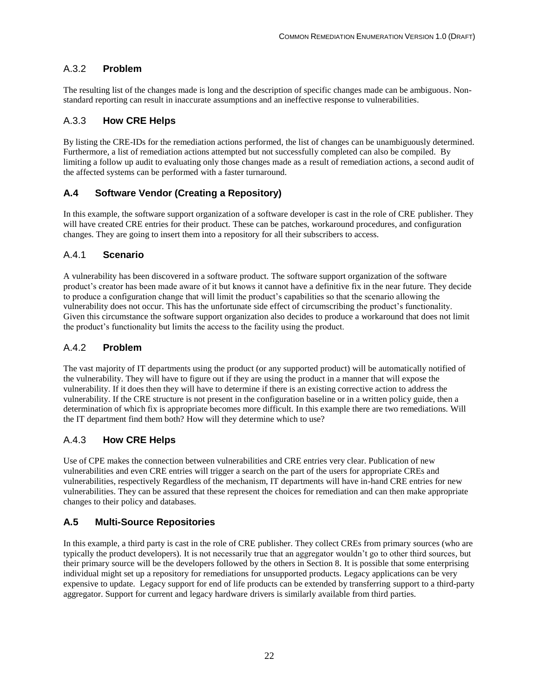#### <span id="page-30-0"></span>A.3.2 **Problem**

The resulting list of the changes made is long and the description of specific changes made can be ambiguous. Nonstandard reporting can result in inaccurate assumptions and an ineffective response to vulnerabilities.

#### <span id="page-30-1"></span>A.3.3 **How CRE Helps**

By listing the CRE-IDs for the remediation actions performed, the list of changes can be unambiguously determined. Furthermore, a list of remediation actions attempted but not successfully completed can also be compiled. By limiting a follow up audit to evaluating only those changes made as a result of remediation actions, a second audit of the affected systems can be performed with a faster turnaround.

#### <span id="page-30-2"></span>**A.4 Software Vendor (Creating a Repository)**

In this example, the software support organization of a software developer is cast in the role of CRE publisher. They will have created CRE entries for their product. These can be patches, workaround procedures, and configuration changes. They are going to insert them into a repository for all their subscribers to access.

#### <span id="page-30-3"></span>A.4.1 **Scenario**

A vulnerability has been discovered in a software product. The software support organization of the software product's creator has been made aware of it but knows it cannot have a definitive fix in the near future. They decide to produce a configuration change that will limit the product's capabilities so that the scenario allowing the vulnerability does not occur. This has the unfortunate side effect of circumscribing the product's functionality. Given this circumstance the software support organization also decides to produce a workaround that does not limit the product's functionality but limits the access to the facility using the product.

#### <span id="page-30-4"></span>A.4.2 **Problem**

The vast majority of IT departments using the product (or any supported product) will be automatically notified of the vulnerability. They will have to figure out if they are using the product in a manner that will expose the vulnerability. If it does then they will have to determine if there is an existing corrective action to address the vulnerability. If the CRE structure is not present in the configuration baseline or in a written policy guide, then a determination of which fix is appropriate becomes more difficult. In this example there are two remediations. Will the IT department find them both? How will they determine which to use?

#### <span id="page-30-5"></span>A.4.3 **How CRE Helps**

Use of CPE makes the connection between vulnerabilities and CRE entries very clear. Publication of new vulnerabilities and even CRE entries will trigger a search on the part of the users for appropriate CREs and vulnerabilities, respectively Regardless of the mechanism, IT departments will have in-hand CRE entries for new vulnerabilities. They can be assured that these represent the choices for remediation and can then make appropriate changes to their policy and databases.

#### <span id="page-30-6"></span>**A.5 Multi-Source Repositories**

In this example, a third party is cast in the role of CRE publisher. They collect CREs from primary sources (who are typically the product developers). It is not necessarily true that an aggregator wouldn't go to other third sources, but their primary source will be the developers followed by the others in Section 8. It is possible that some enterprising individual might set up a repository for remediations for unsupported products. Legacy applications can be very expensive to update. Legacy support for end of life products can be extended by transferring support to a third-party aggregator. Support for current and legacy hardware drivers is similarly available from third parties.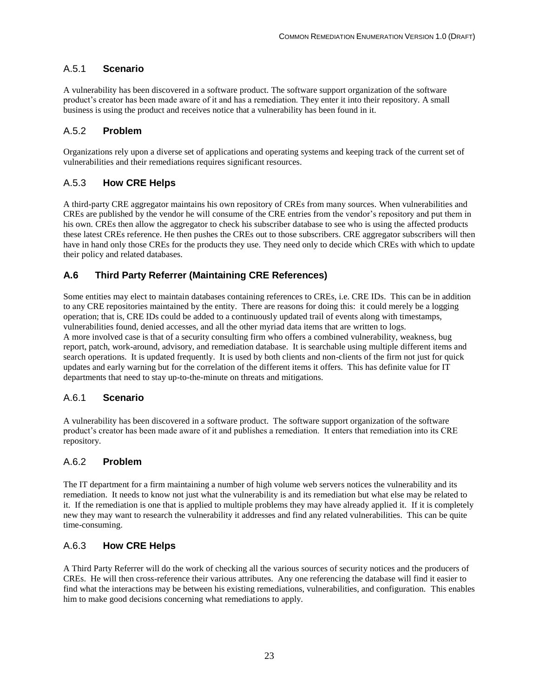#### <span id="page-31-0"></span>A.5.1 **Scenario**

A vulnerability has been discovered in a software product. The software support organization of the software product's creator has been made aware of it and has a remediation. They enter it into their repository. A small business is using the product and receives notice that a vulnerability has been found in it.

#### <span id="page-31-1"></span>A.5.2 **Problem**

Organizations rely upon a diverse set of applications and operating systems and keeping track of the current set of vulnerabilities and their remediations requires significant resources.

#### <span id="page-31-2"></span>A.5.3 **How CRE Helps**

A third-party CRE aggregator maintains his own repository of CREs from many sources. When vulnerabilities and CREs are published by the vendor he will consume of the CRE entries from the vendor's repository and put them in his own. CREs then allow the aggregator to check his subscriber database to see who is using the affected products these latest CREs reference. He then pushes the CREs out to those subscribers. CRE aggregator subscribers will then have in hand only those CREs for the products they use. They need only to decide which CREs with which to update their policy and related databases.

#### <span id="page-31-3"></span>**A.6 Third Party Referrer (Maintaining CRE References)**

Some entities may elect to maintain databases containing references to CREs, i.e. CRE IDs. This can be in addition to any CRE repositories maintained by the entity. There are reasons for doing this: it could merely be a logging operation; that is, CRE IDs could be added to a continuously updated trail of events along with timestamps, vulnerabilities found, denied accesses, and all the other myriad data items that are written to logs. A more involved case is that of a security consulting firm who offers a combined vulnerability, weakness, bug report, patch, work-around, advisory, and remediation database. It is searchable using multiple different items and search operations. It is updated frequently. It is used by both clients and non-clients of the firm not just for quick updates and early warning but for the correlation of the different items it offers. This has definite value for IT departments that need to stay up-to-the-minute on threats and mitigations.

#### <span id="page-31-4"></span>A.6.1 **Scenario**

A vulnerability has been discovered in a software product. The software support organization of the software product's creator has been made aware of it and publishes a remediation. It enters that remediation into its CRE repository.

#### <span id="page-31-5"></span>A.6.2 **Problem**

The IT department for a firm maintaining a number of high volume web servers notices the vulnerability and its remediation. It needs to know not just what the vulnerability is and its remediation but what else may be related to it. If the remediation is one that is applied to multiple problems they may have already applied it. If it is completely new they may want to research the vulnerability it addresses and find any related vulnerabilities. This can be quite time-consuming.

#### <span id="page-31-6"></span>A.6.3 **How CRE Helps**

A Third Party Referrer will do the work of checking all the various sources of security notices and the producers of CREs. He will then cross-reference their various attributes. Any one referencing the database will find it easier to find what the interactions may be between his existing remediations, vulnerabilities, and configuration. This enables him to make good decisions concerning what remediations to apply.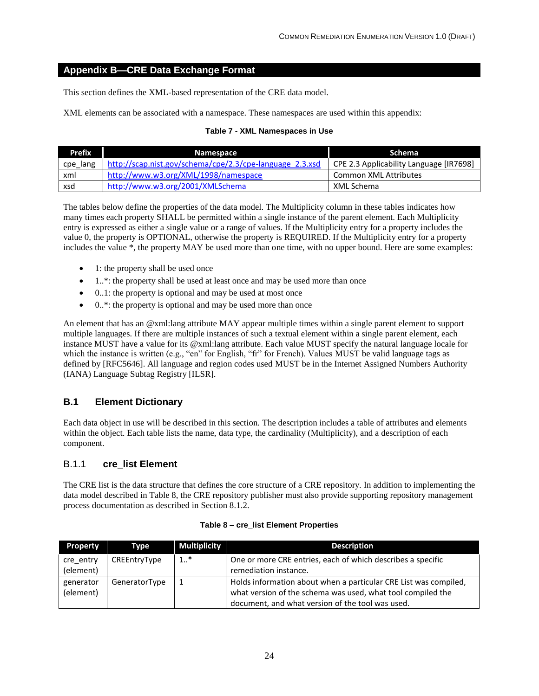#### <span id="page-32-0"></span>**Appendix B—CRE Data Exchange Format**

This section defines the XML-based representation of the CRE data model.

<span id="page-32-3"></span>XML elements can be associated with a namespace. These namespaces are used within this appendix:

#### **Table 7 - XML Namespaces in Use**

| <b>Prefix</b> | Namespace                                                | <b>Schema</b>                           |
|---------------|----------------------------------------------------------|-----------------------------------------|
| cpe_lang      | http://scap.nist.gov/schema/cpe/2.3/cpe-language 2.3.xsd | CPE 2.3 Applicability Language [IR7698] |
| xml           | http://www.w3.org/XML/1998/namespace                     | Common XML Attributes                   |
| xsd           | http://www.w3.org/2001/XMLSchema                         | XML Schema                              |

The tables below define the properties of the data model. The Multiplicity column in these tables indicates how many times each property SHALL be permitted within a single instance of the parent element. Each Multiplicity entry is expressed as either a single value or a range of values. If the Multiplicity entry for a property includes the value 0, the property is OPTIONAL, otherwise the property is REQUIRED. If the Multiplicity entry for a property includes the value \*, the property MAY be used more than one time, with no upper bound. Here are some examples:

- 1: the property shall be used once
- 1..\*: the property shall be used at least once and may be used more than once
- 0..1: the property is optional and may be used at most once
- $\bullet$  0..\*: the property is optional and may be used more than once

An element that has an @xml:lang attribute MAY appear multiple times within a single parent element to support multiple languages. If there are multiple instances of such a textual element within a single parent element, each instance MUST have a value for its @xml:lang attribute. Each value MUST specify the natural language locale for which the instance is written (e.g., "en" for English, "fr" for French). Values MUST be valid language tags as defined by [RFC5646]. All language and region codes used MUST be in the Internet Assigned Numbers Authority (IANA) Language Subtag Registry [ILSR].

#### <span id="page-32-1"></span>**B.1 Element Dictionary**

Each data object in use will be described in this section. The description includes a table of attributes and elements within the object. Each table lists the name, data type, the cardinality (Multiplicity), and a description of each component.

#### <span id="page-32-2"></span>B.1.1 **cre\_list Element**

The CRE list is the data structure that defines the core structure of a CRE repository. In addition to implementing the data model described in Table 8, the CRE repository publisher must also provide supporting repository management process documentation as described in Section 8.1.2.

<span id="page-32-4"></span>

| <b>Property</b> | Type          | <b>Multiplicity</b> | <b>Description</b>                                               |
|-----------------|---------------|---------------------|------------------------------------------------------------------|
| cre entry       | CREEntryType  | $1_{}$ *            | One or more CRE entries, each of which describes a specific      |
| (element)       |               |                     | remediation instance.                                            |
| generator       | GeneratorType |                     | Holds information about when a particular CRE List was compiled, |
| (element)       |               |                     | what version of the schema was used, what tool compiled the      |
|                 |               |                     | document, and what version of the tool was used.                 |

#### **Table 8 – cre\_list Element Properties**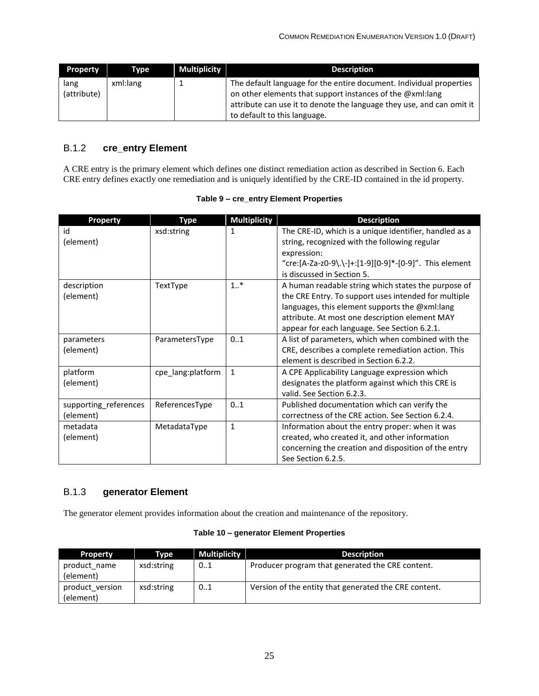| <b>Property</b>     | <b>Type</b> | <b>Multiplicity</b> | <b>Description</b>                                                                                                                                                                                                                        |
|---------------------|-------------|---------------------|-------------------------------------------------------------------------------------------------------------------------------------------------------------------------------------------------------------------------------------------|
| lang<br>(attribute) | xml:lang    |                     | The default language for the entire document. Individual properties<br>on other elements that support instances of the @xml:lang<br>attribute can use it to denote the language they use, and can omit it<br>to default to this language. |

#### <span id="page-33-0"></span>B.1.2 **cre\_entry Element**

A CRE entry is the primary element which defines one distinct remediation action as described in Sectio[n 6.](#page-16-0) Each CRE entry defines exactly one remediation and is uniquely identified by the CRE-ID contained in the id property.

<span id="page-33-2"></span>

| <b>Property</b>                    | <b>Type</b>       | <b>Multiplicity</b> | <b>Description</b>                                                                                                                                                                                                                                              |
|------------------------------------|-------------------|---------------------|-----------------------------------------------------------------------------------------------------------------------------------------------------------------------------------------------------------------------------------------------------------------|
| id<br>(element)                    | xsd:string        | 1                   | The CRE-ID, which is a unique identifier, handled as a<br>string, recognized with the following regular<br>expression:<br>"cre:[A-Za-z0-9\.\-]+:[1-9][0-9]*-[0-9]". This element<br>is discussed in Section 5.                                                  |
| description<br>(element)           | TextType          | $1_{}$ *            | A human readable string which states the purpose of<br>the CRE Entry. To support uses intended for multiple<br>languages, this element supports the @xml:lang<br>attribute. At most one description element MAY<br>appear for each language. See Section 6.2.1. |
| parameters<br>(element)            | ParametersType    | 0.1                 | A list of parameters, which when combined with the<br>CRE, describes a complete remediation action. This<br>element is described in Section 6.2.2.                                                                                                              |
| platform<br>(element)              | cpe_lang:platform | $\mathbf{1}$        | A CPE Applicability Language expression which<br>designates the platform against which this CRE is<br>valid. See Section 6.2.3.                                                                                                                                 |
| supporting_references<br>(element) | ReferencesType    | 01                  | Published documentation which can verify the<br>correctness of the CRE action. See Section 6.2.4.                                                                                                                                                               |
| metadata<br>(element)              | MetadataType      | $\mathbf{1}$        | Information about the entry proper: when it was<br>created, who created it, and other information<br>concerning the creation and disposition of the entry<br>See Section 6.2.5.                                                                                 |

#### <span id="page-33-1"></span>B.1.3 **generator Element**

The generator element provides information about the creation and maintenance of the repository.

#### **Table 10 – generator Element Properties**

<span id="page-33-3"></span>

| <b>Property</b>              | Type       | <b>Multiplicity</b> | <b>Description</b>                                    |
|------------------------------|------------|---------------------|-------------------------------------------------------|
| product name<br>(element)    | xsd:string | 01                  | Producer program that generated the CRE content.      |
| product version<br>(element) | xsd:string | 01                  | Version of the entity that generated the CRE content. |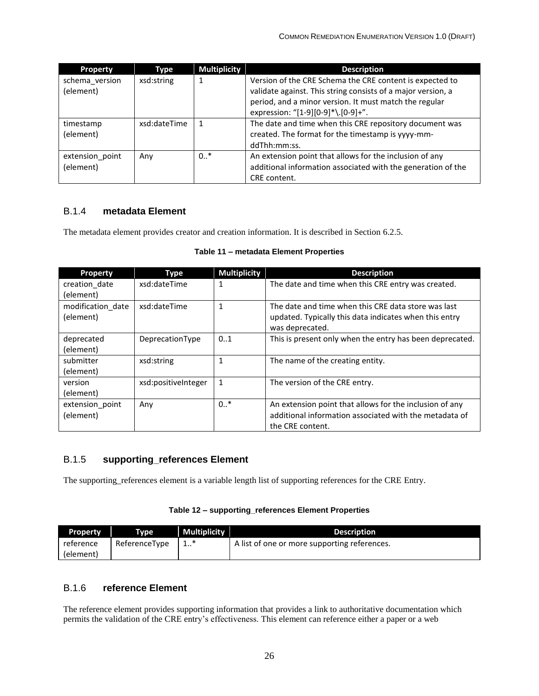| <b>Property</b>             | <b>Type</b>  | <b>Multiplicity</b> | <b>Description</b>                                                                                                                                                                 |
|-----------------------------|--------------|---------------------|------------------------------------------------------------------------------------------------------------------------------------------------------------------------------------|
| schema version<br>(element) | xsd:string   |                     | Version of the CRE Schema the CRE content is expected to<br>validate against. This string consists of a major version, a<br>period, and a minor version. It must match the regular |
|                             |              |                     | expression: "[1-9][0-9]*\.[0-9]+".                                                                                                                                                 |
| timestamp                   | xsd:dateTime | 1                   | The date and time when this CRE repository document was                                                                                                                            |
| (element)                   |              |                     | created. The format for the timestamp is yyyy-mm-                                                                                                                                  |
|                             |              |                     | ddThh:mm:ss.                                                                                                                                                                       |
| extension_point             | Any          | $0.$ *              | An extension point that allows for the inclusion of any                                                                                                                            |
| (element)                   |              |                     | additional information associated with the generation of the                                                                                                                       |
|                             |              |                     | CRE content.                                                                                                                                                                       |

#### <span id="page-34-0"></span>B.1.4 **metadata Element**

<span id="page-34-3"></span>The metadata element provides creator and creation information. It is described in Section [6.2.5.](#page-21-0)

#### **Table 11 – metadata Element Properties**

| <b>Property</b>   | Type                | <b>Multiplicity</b> | <b>Description</b>                                       |
|-------------------|---------------------|---------------------|----------------------------------------------------------|
| creation date     | xsd:dateTime        | 1                   | The date and time when this CRE entry was created.       |
| (element)         |                     |                     |                                                          |
| modification date | xsd:dateTime        | 1                   | The date and time when this CRE data store was last      |
| (element)         |                     |                     | updated. Typically this data indicates when this entry   |
|                   |                     |                     | was deprecated.                                          |
| deprecated        | DeprecationType     | 01                  | This is present only when the entry has been deprecated. |
| (element)         |                     |                     |                                                          |
| submitter         | xsd:string          | 1                   | The name of the creating entity.                         |
| (element)         |                     |                     |                                                          |
| version           | xsd:positiveInteger | $\mathbf{1}$        | The version of the CRE entry.                            |
| (element)         |                     |                     |                                                          |
| extension point   | Any                 | $0.$ *              | An extension point that allows for the inclusion of any  |
| (element)         |                     |                     | additional information associated with the metadata of   |
|                   |                     |                     | the CRE content.                                         |

#### <span id="page-34-1"></span>B.1.5 **supporting\_references Element**

The supporting\_references element is a variable length list of supporting references for the CRE Entry.

#### **Table 12 – supporting\_references Element Properties**

<span id="page-34-4"></span>

| <b>Property</b> | Type          | <b>Multiplicity</b> | <b>Description</b>                           |
|-----------------|---------------|---------------------|----------------------------------------------|
| reference       | ReferenceType | <b></b>             | A list of one or more supporting references. |
| (element)       |               |                     |                                              |

#### <span id="page-34-2"></span>B.1.6 **reference Element**

The reference element provides supporting information that provides a link to authoritative documentation which permits the validation of the CRE entry's effectiveness. This element can reference either a paper or a web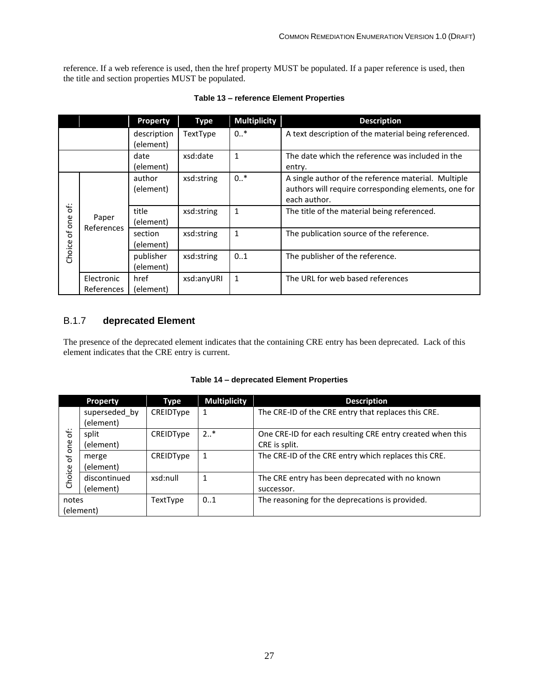reference. If a web reference is used, then the href property MUST be populated. If a paper reference is used, then the title and section properties MUST be populated.

<span id="page-35-1"></span>

|                        |                          | <b>Property</b>          | Type       | <b>Multiplicity</b> | <b>Description</b>                                                                                                          |
|------------------------|--------------------------|--------------------------|------------|---------------------|-----------------------------------------------------------------------------------------------------------------------------|
|                        |                          | description<br>(element) | TextType   | $0.$ *              | A text description of the material being referenced.                                                                        |
|                        |                          | date<br>(element)        | xsd:date   | $\mathbf{1}$        | The date which the reference was included in the<br>entry.                                                                  |
| Ġ.<br>of one<br>Choice | Paper<br>References      | author<br>(element)      | xsd:string | $0.$ *              | A single author of the reference material. Multiple<br>authors will require corresponding elements, one for<br>each author. |
|                        |                          | title<br>(element)       | xsd:string | $\mathbf{1}$        | The title of the material being referenced.                                                                                 |
|                        |                          | section<br>(element)     | xsd:string | $\mathbf{1}$        | The publication source of the reference.                                                                                    |
|                        |                          | publisher<br>(element)   | xsd:string | 01                  | The publisher of the reference.                                                                                             |
|                        | Electronic<br>References | href<br>(element)        | xsd:anyURI | $\mathbf{1}$        | The URL for web based references                                                                                            |

#### **Table 13 – reference Element Properties**

#### <span id="page-35-0"></span>B.1.7 **deprecated Element**

The presence of the deprecated element indicates that the containing CRE entry has been deprecated. Lack of this element indicates that the CRE entry is current.

<span id="page-35-2"></span>

|          | <b>Property</b>            | Type      | <b>Multiplicity</b> | <b>Description</b>                                                         |
|----------|----------------------------|-----------|---------------------|----------------------------------------------------------------------------|
|          | superseded by<br>(element) | CREIDType | 1                   | The CRE-ID of the CRE entry that replaces this CRE.                        |
| €<br>one | split<br>(element)         | CREIDType | $2*$                | One CRE-ID for each resulting CRE entry created when this<br>CRE is split. |
| Ⴆ        | merge<br>(element)         | CREIDType | 1                   | The CRE-ID of the CRE entry which replaces this CRE.                       |
| Choice   | discontinued<br>(element)  | xsd:null  |                     | The CRE entry has been deprecated with no known<br>successor.              |
| notes    | (element)                  | TextType  | 0.1                 | The reasoning for the deprecations is provided.                            |

#### **Table 14 – deprecated Element Properties**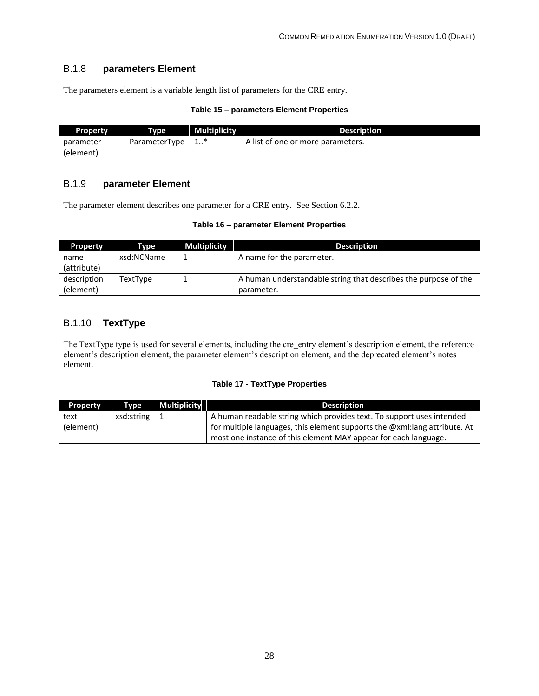#### <span id="page-36-0"></span>B.1.8 **parameters Element**

The parameters element is a variable length list of parameters for the CRE entry.

#### **Table 15 – parameters Element Properties**

<span id="page-36-3"></span>

| <b>Property</b> | Type          | <b>Multiplicity</b> | <b>Description</b>                |
|-----------------|---------------|---------------------|-----------------------------------|
| parameter       | ParameterType |                     | A list of one or more parameters. |
| (element)       |               |                     |                                   |

#### <span id="page-36-1"></span>B.1.9 **parameter Element**

<span id="page-36-4"></span>The parameter element describes one parameter for a CRE entry. See Section [6.2.2.](#page-17-0)

#### **Table 16 – parameter Element Properties**

| <b>Property</b> | Type       | <b>Multiplicity</b> | <b>Description</b>                                              |
|-----------------|------------|---------------------|-----------------------------------------------------------------|
| name            | xsd:NCName |                     | A name for the parameter.                                       |
| (attribute)     |            |                     |                                                                 |
| description     | TextType   |                     | A human understandable string that describes the purpose of the |
| (element)       |            |                     | parameter.                                                      |

#### <span id="page-36-2"></span>B.1.10 **TextType**

The TextType type is used for several elements, including the cre entry element's description element, the reference element's description element, the parameter element's description element, and the deprecated element's notes element.

#### **Table 17 - TextType Properties**

<span id="page-36-5"></span>

| <b>Property</b> | <b>Type</b>         | <b>Multiplicity</b> | <b>Description</b>                                                        |
|-----------------|---------------------|---------------------|---------------------------------------------------------------------------|
| text            | $xsd:string \mid 1$ |                     | A human readable string which provides text. To support uses intended     |
| (element)       |                     |                     | for multiple languages, this element supports the @xml:lang attribute. At |
|                 |                     |                     | most one instance of this element MAY appear for each language.           |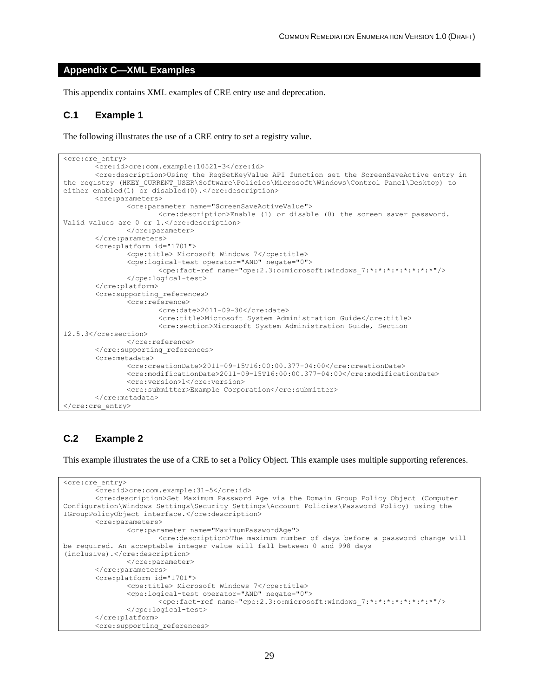#### <span id="page-37-0"></span>**Appendix C—XML Examples**

This appendix contains XML examples of CRE entry use and deprecation.

#### <span id="page-37-1"></span>**C.1 Example 1**

The following illustrates the use of a CRE entry to set a registry value.

```
<cre:cre_entry>
       <cre:id>cre:com.example:10521-3</cre:id>
       <cre:description>Using the RegSetKeyValue API function set the ScreenSaveActive entry in 
the registry (HKEY CURRENT USER\Software\Policies\Microsoft\Windows\Control Panel\Desktop) to
either enabled(1) or disabled(0).</cre:description>
       <cre:parameters>
                <cre:parameter name="ScreenSaveActiveValue">
                      <cre:description>Enable (1) or disable (0) the screen saver password. 
Valid values are 0 or 1.</cre:description>
               </cre:parameter>
       </cre:parameters>
       <cre:platform id="1701">
               <cpe:title> Microsoft Windows 7</cpe:title>
               <cpe:logical-test operator="AND" negate="0">
                      <cpe:fact-ref name="cpe:2.3:o:microsoft:windows_7:*:*:*:*:*:*:*:*"/>
               </cpe:logical-test>
       </cre:platform>
       <cre:supporting_references>
               <cre:reference>
                      <cre:date>2011-09-30</cre:date>
                      <cre:title>Microsoft System Administration Guide</cre:title>
                      <cre:section>Microsoft System Administration Guide, Section 
12.5.3</cre:section>
               </cre:reference>
       </cre:supporting_references>
       <cre:metadata>
               <cre:creationDate>2011-09-15T16:00:00.377-04:00</cre:creationDate>
               <cre:modificationDate>2011-09-15T16:00:00.377-04:00</cre:modificationDate>
               <cre:version>1</cre:version>
               <cre:submitter>Example Corporation</cre:submitter>
       </cre:metadata>
</cre:cre_entry>
```
#### <span id="page-37-2"></span>**C.2 Example 2**

This example illustrates the use of a CRE to set a Policy Object. This example uses multiple supporting references.

```
<cre:cre_entry>
       <cre:id>cre:com.example:31-5</cre:id>
       <cre:description>Set Maximum Password Age via the Domain Group Policy Object (Computer 
Configuration\Windows Settings\Security Settings\Account Policies\Password Policy) using the 
IGroupPolicyObject interface.</cre:description>
       <cre:parameters>
                <cre:parameter name="MaximumPasswordAge">
                      <cre:description>The maximum number of days before a password change will 
be required. An acceptable integer value will fall between 0 and 998 days 
(inclusive).</cre:description>
               </cre:parameter>
       </cre:parameters>
       <cre:platform id="1701">
               <cpe:title> Microsoft Windows 7</cpe:title>
               <cpe:logical-test operator="AND" negate="0">
                      <cpe:fact-ref name="cpe:2.3:o:microsoft:windows_7:*:*:*:*:*:*:*:*"/>
               </cpe:logical-test>
       </cre:platform>
       <cre:supporting_references>
```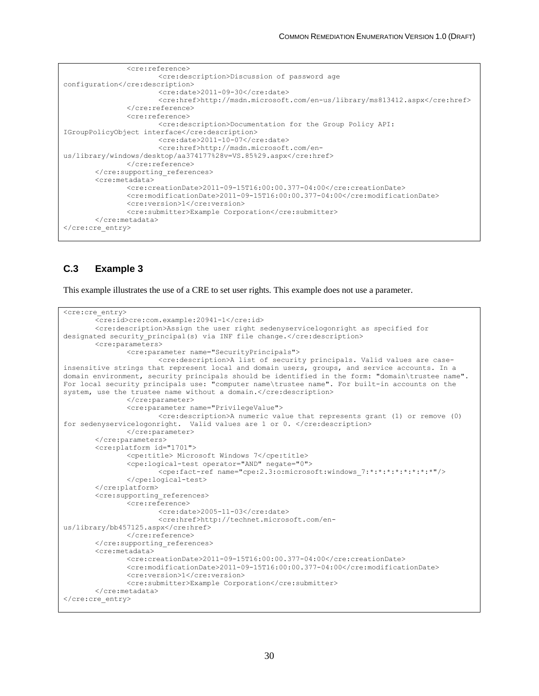```
<cre:reference>
                      <cre:description>Discussion of password age 
configuration</cre:description>
                      <cre:date>2011-09-30</cre:date>
                      <cre:href>http://msdn.microsoft.com/en-us/library/ms813412.aspx</cre:href>
               </cre:reference>
               <cre:reference>
                      <cre:description>Documentation for the Group Policy API: 
IGroupPolicyObject interface</cre:description>
                      <cre:date>2011-10-07</cre:date>
                      <cre:href>http://msdn.microsoft.com/en-
us/library/windows/desktop/aa374177%28v=VS.85%29.aspx</cre:href>
               </cre:reference>
       </cre:supporting_references>
       <cre:metadata>
               <cre:creationDate>2011-09-15T16:00:00.377-04:00</cre:creationDate>
               <cre:modificationDate>2011-09-15T16:00:00.377-04:00</cre:modificationDate>
               <cre:version>1</cre:version>
               <cre:submitter>Example Corporation</cre:submitter>
       </cre:metadata>
</cre:cre_entry>
```
#### <span id="page-38-0"></span>**C.3 Example 3**

This example illustrates the use of a CRE to set user rights. This example does not use a parameter.

```
<cre:cre_entry>
       <cre:id>cre:com.example:20941-1</cre:id>
        <cre:description>Assign the user right sedenyservicelogonright as specified for 
designated security principal(s) via INF file change.</cre:description>
       <cre:parameters>
               <cre:parameter name="SecurityPrincipals">
                      <cre:description>A list of security principals. Valid values are case-
insensitive strings that represent local and domain users, groups, and service accounts. In a 
domain environment, security principals should be identified in the form: "domain\trustee name". 
For local security principals use: "computer name\trustee name". For built-in accounts on the 
system, use the trustee name without a domain.</cre:description>
               </cre:parameter>
               <cre:parameter name="PrivilegeValue">
                      <cre:description>A numeric value that represents grant (1) or remove (0) 
for sedenyservicelogonright. Valid values are 1 or 0. </cre:description>
               </cre:parameter>
       </cre:parameters>
       <cre:platform id="1701">
               <cpe:title> Microsoft Windows 7</cpe:title>
               <cpe:logical-test operator="AND" negate="0">
                      <cpe:fact-ref name="cpe:2.3:o:microsoft:windows_7:*:*:*:*:*:*:*:*"/>
               </cpe:logical-test>
       </cre:platform>
       <cre:supporting_references>
               <cre:reference>
                      <cre:date>2005-11-03</cre:date>
                      <cre:href>http://technet.microsoft.com/en-
us/library/bb457125.aspx</cre:href>
               </cre:reference>
       </cre:supporting_references>
       <cre:metadata>
               <cre:creationDate>2011-09-15T16:00:00.377-04:00</cre:creationDate>
               <cre:modificationDate>2011-09-15T16:00:00.377-04:00</cre:modificationDate>
               <cre:version>1</cre:version>
               <cre:submitter>Example Corporation</cre:submitter>
       </cre:metadata>
</cre:cre_entry>
```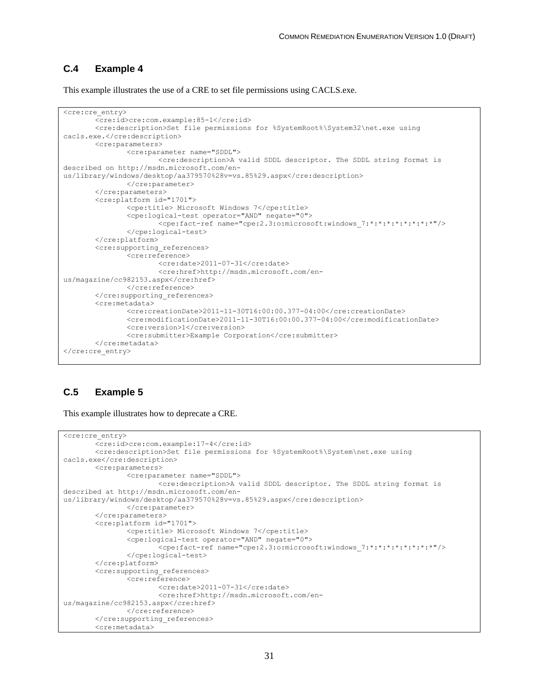#### <span id="page-39-0"></span>**C.4 Example 4**

This example illustrates the use of a CRE to set file permissions using CACLS.exe.

```
<cre:cre_entry>
       <cre:id>cre:com.example:85-1</cre:id>
       <cre:description>Set file permissions for %SystemRoot%\System32\net.exe using 
cacls.exe.</cre:description>
       <cre:parameters>
               <cre:parameter name="SDDL">
                      <cre:description>A valid SDDL descriptor. The SDDL string format is 
described on http://msdn.microsoft.com/en-
us/library/windows/desktop/aa379570%28v=vs.85%29.aspx</cre:description>
               </cre:parameter>
       </cre:parameters>
       <cre:platform id="1701">
               <cpe:title> Microsoft Windows 7</cpe:title>
               <cpe:logical-test operator="AND" negate="0">
                      <cpe:fact-ref name="cpe:2.3:o:microsoft:windows_7:*:*:*:*:*:*:*:*"/>
               </cpe:logical-test>
       </cre:platform>
       <cre:supporting_references>
               <cre:reference>
                      <cre:date>2011-07-31</cre:date>
                      <cre:href>http://msdn.microsoft.com/en-
us/magazine/cc982153.aspx</cre:href>
               </cre:reference>
       </cre:supporting_references>
       <cre:metadata>
               <cre:creationDate>2011-11-30T16:00:00.377-04:00</cre:creationDate>
               <cre:modificationDate>2011-11-30T16:00:00.377-04:00</cre:modificationDate>
               <cre:version>1</cre:version>
               <cre:submitter>Example Corporation</cre:submitter>
       </cre:metadata>
</cre:cre_entry>
```
#### <span id="page-39-1"></span>**C.5 Example 5**

This example illustrates how to deprecate a CRE.

```
<cre:cre_entry>
       <cre:id>cre:com.example:17-4</cre:id>
       <cre:description>Set file permissions for %SystemRoot%\System\net.exe using 
cacls.exe</cre:description>
       <cre:parameters>
               <cre:parameter name="SDDL">
                      <cre:description>A valid SDDL descriptor. The SDDL string format is 
described at http://msdn.microsoft.com/en-
us/library/windows/desktop/aa379570%28v=vs.85%29.aspx</cre:description>
               </cre:parameter>
       </cre:parameters>
       <cre:platform id="1701">
               <cpe:title> Microsoft Windows 7</cpe:title>
               <cpe:logical-test operator="AND" negate="0">
                      <cpe:fact-ref name="cpe:2.3:o:microsoft:windows_7:*:*:*:*:*:*:*:*"/>
               </cpe:logical-test>
       </cre:platform>
       <cre:supporting_references>
               <cre:reference>
                      <cre:date>2011-07-31</cre:date>
                      <cre:href>http://msdn.microsoft.com/en-
us/magazine/cc982153.aspx</cre:href>
               </cre:reference>
       </cre:supporting_references>
       <cre:metadata>
```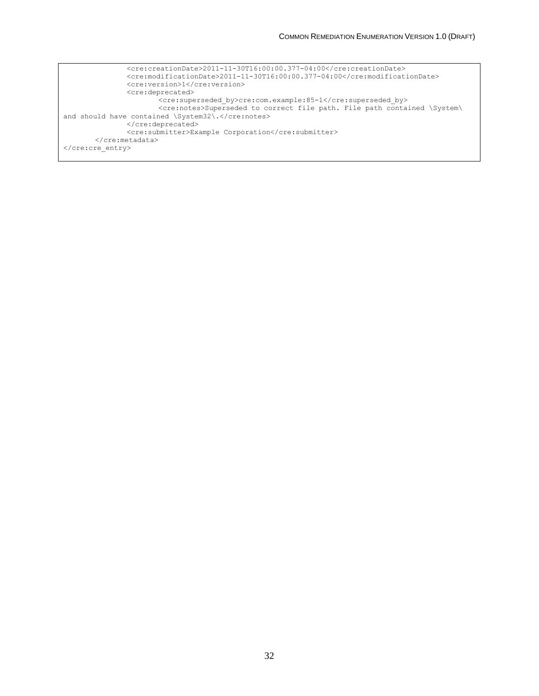```
\langle\text{cre:creationDate}\rangle 2011-11-30T16:00:00.377-04:00\langle\text{cre:creationDate}\rangle<cre:modificationDate>2011-11-30T16:00:00.377-04:00</cre:modificationDate>
                <cre:version>1</cre:version>
                <cre:deprecated>
                        <cre:superseded_by>cre:com.example:85-1</cre:superseded_by>
                        <cre:notes>Superseded to correct file path. File path contained \System\
and should have contained \System32\.</cre:notes>
                </cre:deprecated>
                <cre:submitter>Example Corporation</cre:submitter>
       </cre:metadata>
</cre:cre_entry>
```